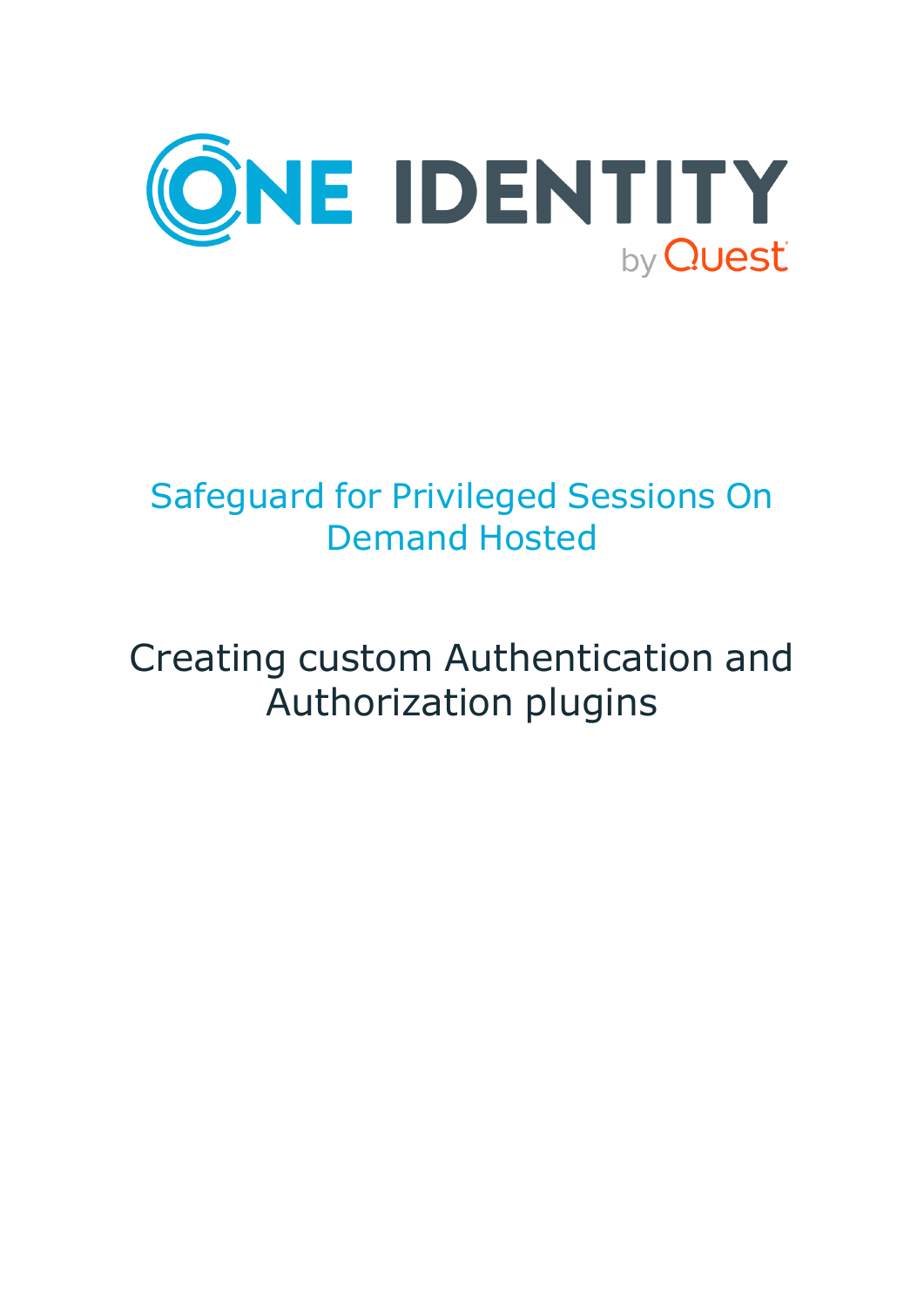

# Safeguard for Privileged Sessions On Demand Hosted

# Creating custom Authentication and Authorization plugins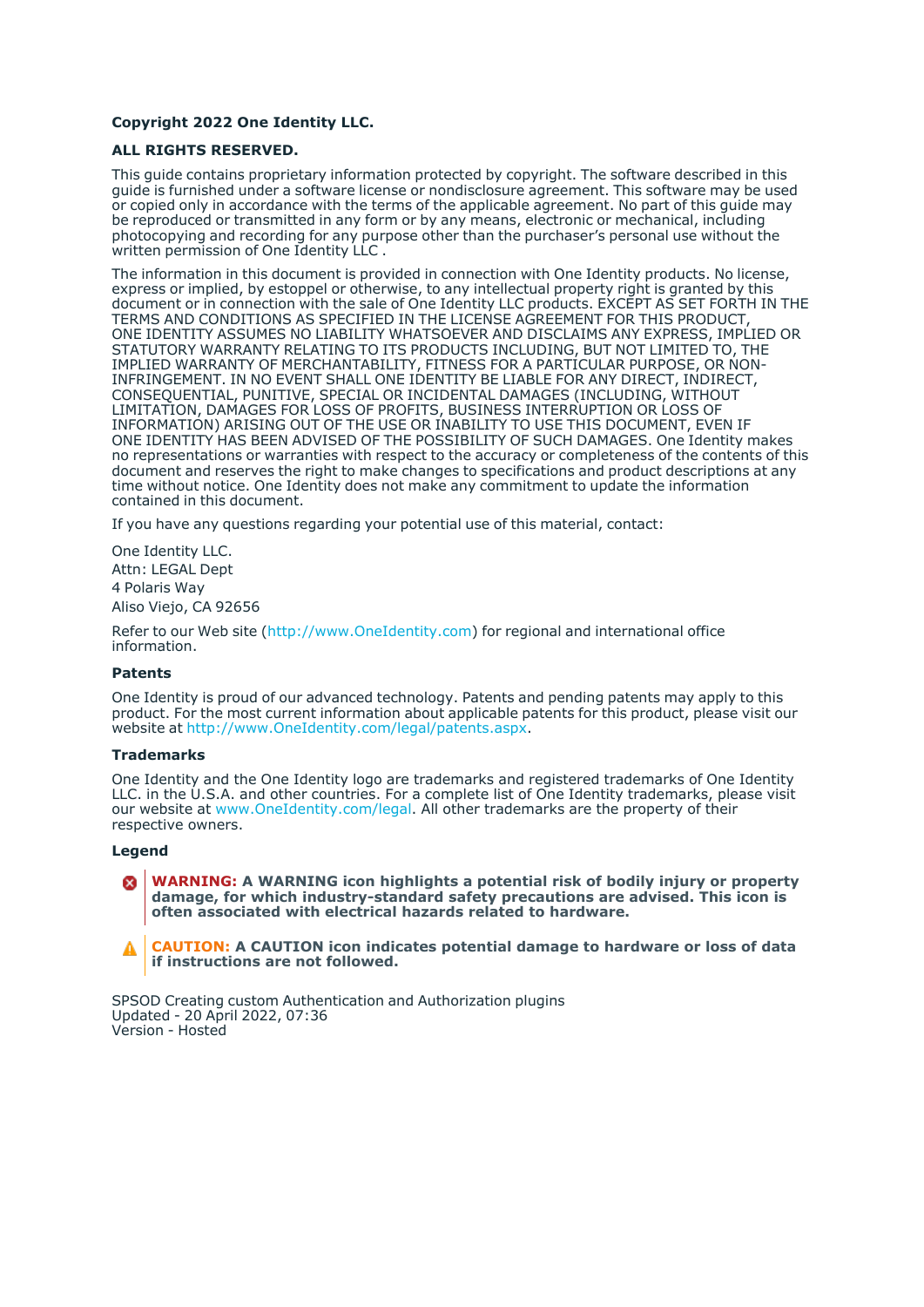#### **Copyright 2022 One Identity LLC.**

#### **ALL RIGHTS RESERVED.**

This guide contains proprietary information protected by copyright. The software described in this guide is furnished under a software license or nondisclosure agreement. This software may be used or copied only in accordance with the terms of the applicable agreement. No part of this guide may be reproduced or transmitted in any form or by any means, electronic or mechanical, including photocopying and recording for any purpose other than the purchaser's personal use without the written permission of One Identity LLC .

The information in this document is provided in connection with One Identity products. No license, express or implied, by estoppel or otherwise, to any intellectual property right is granted by this document or in connection with the sale of One Identity LLC products. EXCEPT AS SET FORTH IN THE TERMS AND CONDITIONS AS SPECIFIED IN THE LICENSE AGREEMENT FOR THIS PRODUCT, ONE IDENTITY ASSUMES NO LIABILITY WHATSOEVER AND DISCLAIMS ANY EXPRESS, IMPLIED OR STATUTORY WARRANTY RELATING TO ITS PRODUCTS INCLUDING, BUT NOT LIMITED TO, THE IMPLIED WARRANTY OF MERCHANTABILITY, FITNESS FOR A PARTICULAR PURPOSE, OR NON-INFRINGEMENT. IN NO EVENT SHALL ONE IDENTITY BE LIABLE FOR ANY DIRECT, INDIRECT, CONSEQUENTIAL, PUNITIVE, SPECIAL OR INCIDENTAL DAMAGES (INCLUDING, WITHOUT LIMITATION, DAMAGES FOR LOSS OF PROFITS, BUSINESS INTERRUPTION OR LOSS OF INFORMATION) ARISING OUT OF THE USE OR INABILITY TO USE THIS DOCUMENT, EVEN IF ONE IDENTITY HAS BEEN ADVISED OF THE POSSIBILITY OF SUCH DAMAGES. One Identity makes no representations or warranties with respect to the accuracy or completeness of the contents of this document and reserves the right to make changes to specifications and product descriptions at any time without notice. One Identity does not make any commitment to update the information contained in this document.

If you have any questions regarding your potential use of this material, contact:

One Identity LLC. Attn: LEGAL Dept 4 Polaris Way Aliso Viejo, CA 92656

Refer to our Web site [\(http://www.OneIdentity.com](http://www.oneidentity.com/)) for regional and international office information.

#### **Patents**

One Identity is proud of our advanced technology. Patents and pending patents may apply to this product. For the most current information about applicable patents for this product, please visit our website at [http://www.OneIdentity.com/legal/patents.aspx.](http://www.oneidentity.com/legal/patents.aspx)

#### **Trademarks**

One Identity and the One Identity logo are trademarks and registered trademarks of One Identity LLC. in the U.S.A. and other countries. For a complete list of One Identity trademarks, please visit our website at [www.OneIdentity.com/legal](http://www.oneidentity.com/legal). All other trademarks are the property of their respective owners.

#### **Legend**

**WARNING: A WARNING icon highlights a potential risk of bodily injury or property** œ **damage, for which industry-standard safety precautions are advised. This icon is often associated with electrical hazards related to hardware.**

**CAUTION: A CAUTION icon indicates potential damage to hardware or loss of data if instructions are not followed.**

SPSOD Creating custom Authentication and Authorization plugins Updated - 20 April 2022, 07:36 Version - Hosted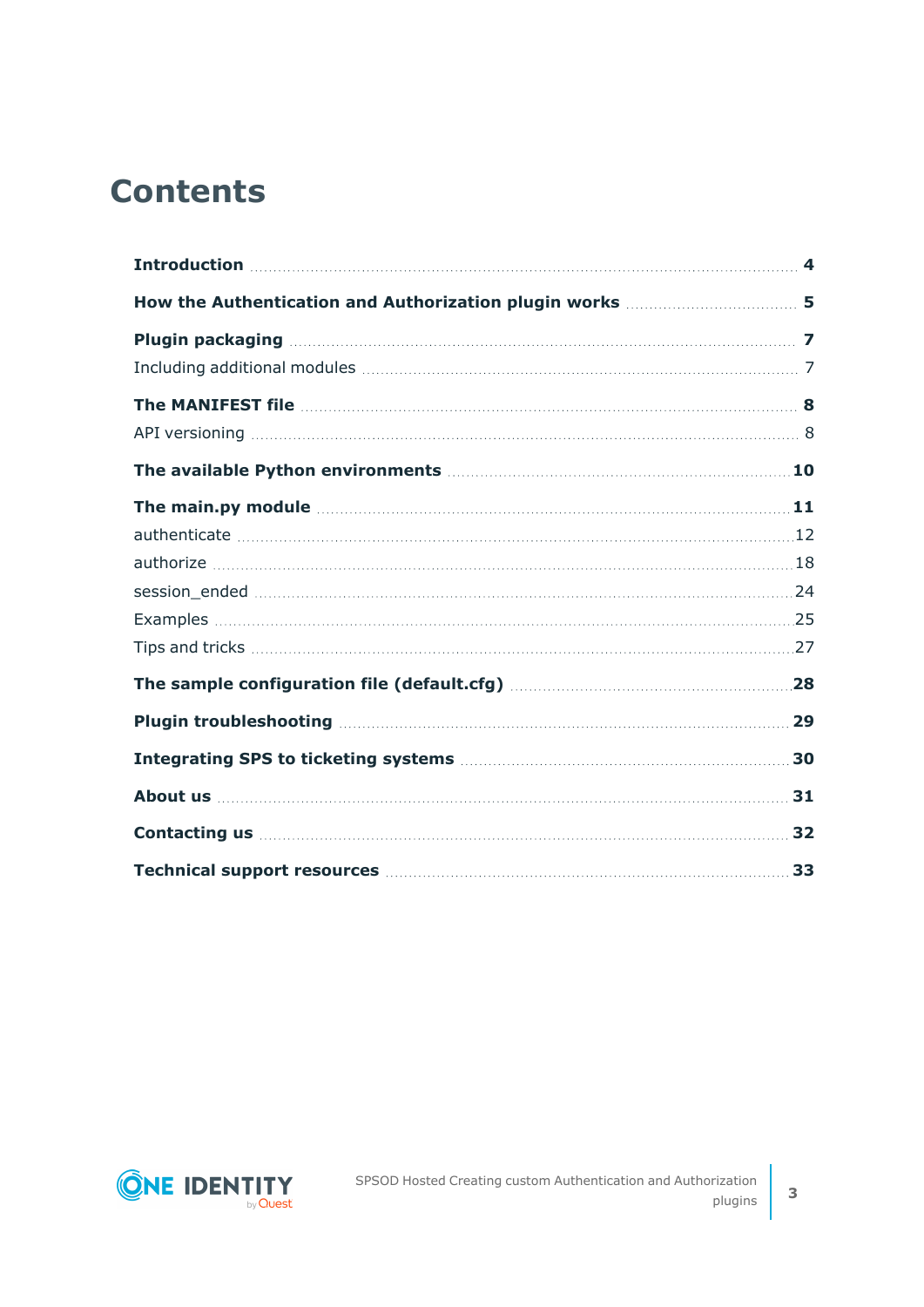## **Contents**

| The main.py module measures and the main part of the main part of the main part of the main state of the main state of the main state of the main state of the main state of the main state of the main state of the main stat       |     |
|--------------------------------------------------------------------------------------------------------------------------------------------------------------------------------------------------------------------------------------|-----|
|                                                                                                                                                                                                                                      |     |
|                                                                                                                                                                                                                                      |     |
|                                                                                                                                                                                                                                      |     |
|                                                                                                                                                                                                                                      |     |
|                                                                                                                                                                                                                                      |     |
|                                                                                                                                                                                                                                      |     |
|                                                                                                                                                                                                                                      |     |
|                                                                                                                                                                                                                                      | .30 |
|                                                                                                                                                                                                                                      |     |
| <b>Contacting us 22 All and 23 All and 23 All and 24 All and 24 All and 24 All and 24 All and 24 All and 24 All and 24 All and 24 All and 24 All and 24 All and 25 All and 26 All and 26 All and 26 All and 26 All and 26 All an</b> |     |
| Technical support resources <b>manufactures</b> 33                                                                                                                                                                                   |     |

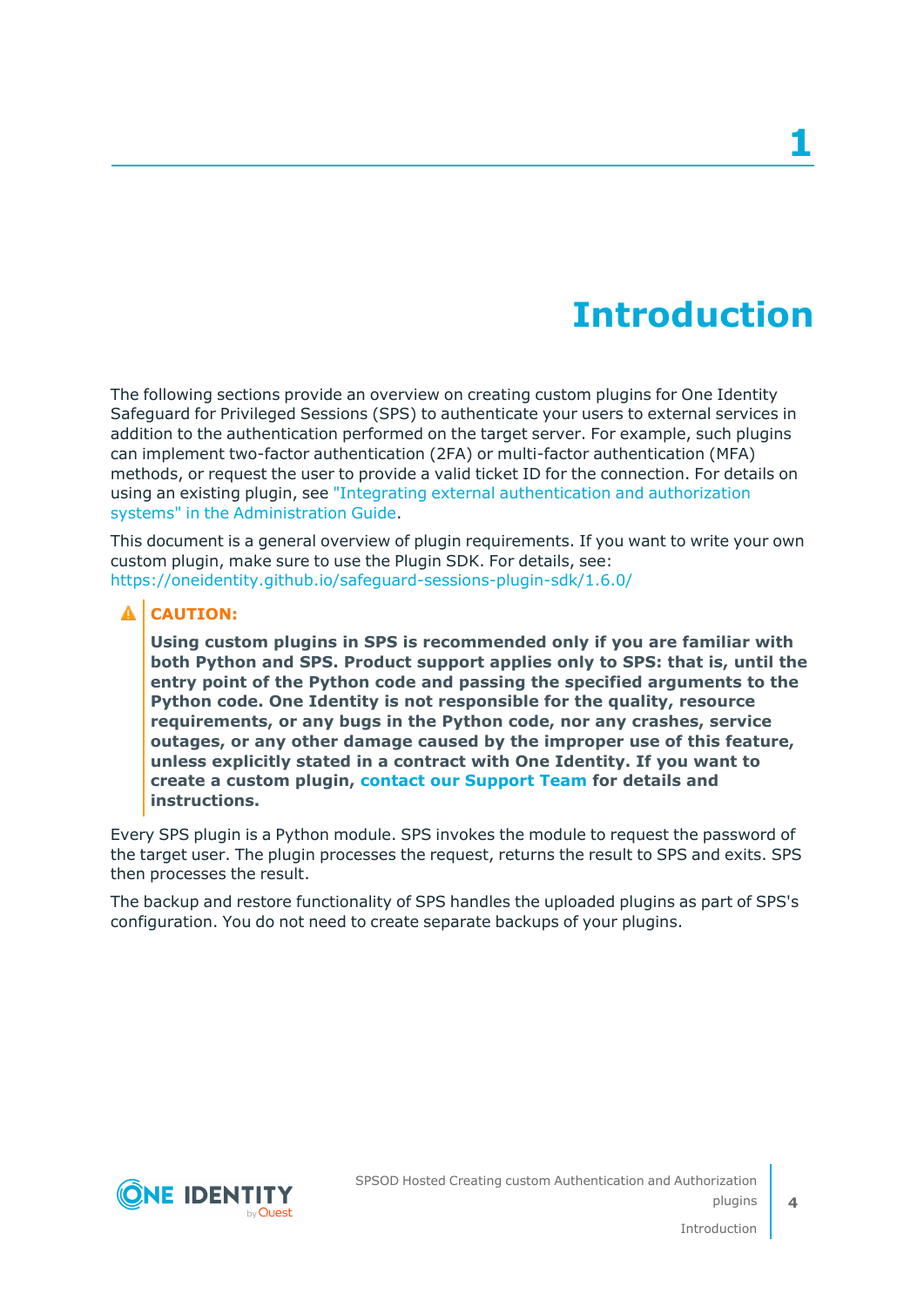## **Introduction**

<span id="page-3-0"></span>The following sections provide an overview on creating custom plugins for One Identity Safeguard for Privileged Sessions (SPS) to authenticate your users to external services in addition to the authentication performed on the target server. For example, such plugins can implement two-factor authentication (2FA) or multi-factor authentication (MFA) methods, or request the user to provide a valid ticket ID for the connection. For details on using an existing plugin, see "Integrating external [authentication](https://support.oneidentity.com/technical-documents/safeguard-for-privileged-sessions/6.13.1/administration-guide/advanced-authentication-and-authorization-techniques/integrating-external-authentication-and-authorization-systems/) and authorization systems" in the [Administration](https://support.oneidentity.com/technical-documents/safeguard-for-privileged-sessions/6.13.1/administration-guide/advanced-authentication-and-authorization-techniques/integrating-external-authentication-and-authorization-systems/) Guide.

This document is a general overview of plugin requirements. If you want to write your own custom plugin, make sure to use the Plugin SDK. For details, see: <https://oneidentity.github.io/safeguard-sessions-plugin-sdk/1.6.0/>

#### **A** CAUTION:

**Using custom plugins in SPS is recommended only if you are familiar with both Python and SPS. Product support applies only to SPS: that is, until the entry point of the Python code and passing the specified arguments to the Python code. One Identity is not responsible for the quality, resource requirements, or any bugs in the Python code, nor any crashes, service outages, or any other damage caused by the improper use of this feature, unless explicitly stated in a contract with One Identity. If you want to create a custom plugin, contact our [Support](https://support.oneidentity.com/one-identity-safeguard-for-privileged-sessions) Team for details and instructions.**

Every SPS plugin is a Python module. SPS invokes the module to request the password of the target user. The plugin processes the request, returns the result to SPS and exits. SPS then processes the result.

The backup and restore functionality of SPS handles the uploaded plugins as part of SPS's configuration. You do not need to create separate backups of your plugins.

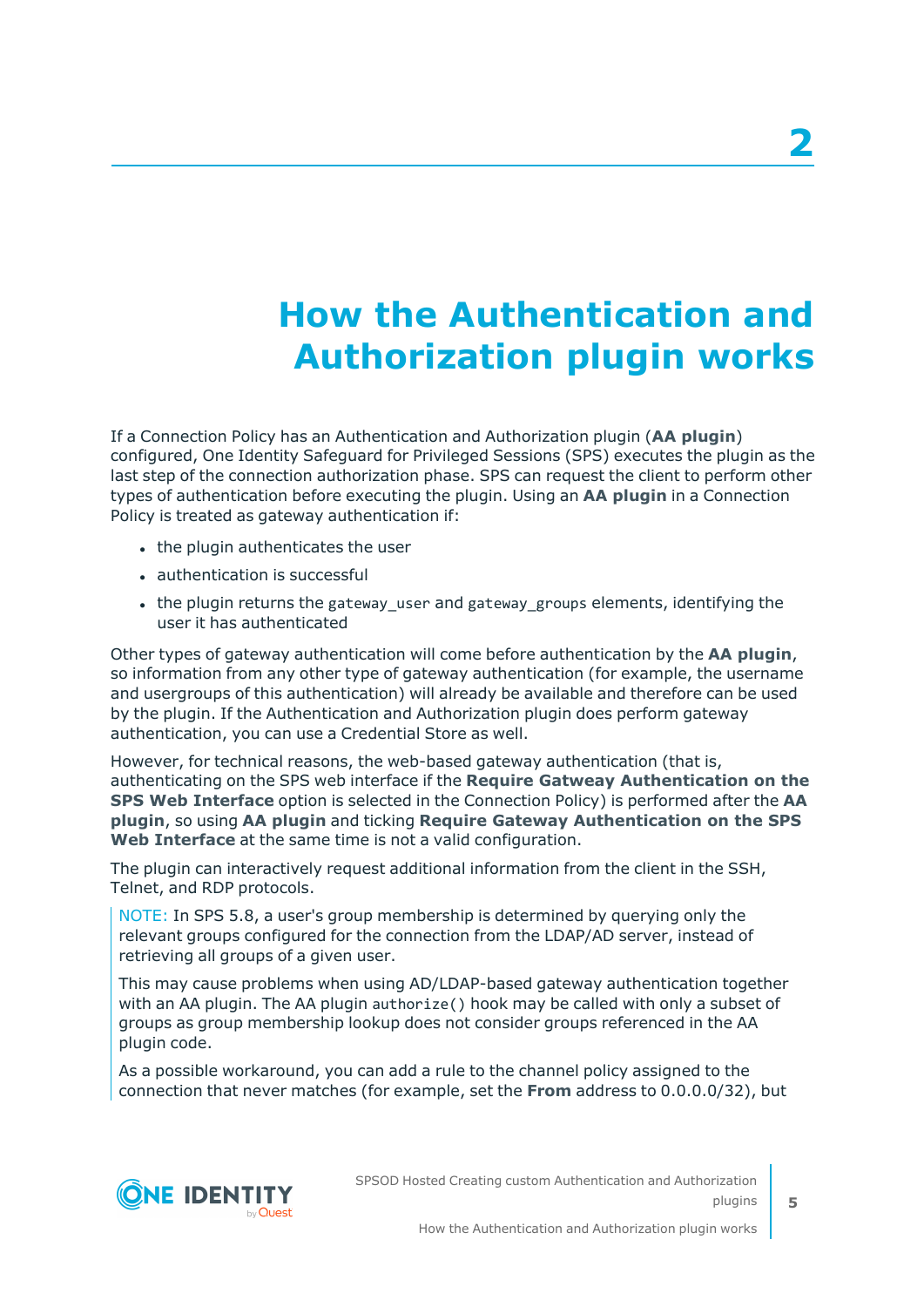# <span id="page-4-0"></span>**How the Authentication and Authorization plugin works**

If a Connection Policy has an Authentication and Authorization plugin (**AA plugin**) configured, One Identity Safeguard for Privileged Sessions (SPS) executes the plugin as the last step of the connection authorization phase. SPS can request the client to perform other types of authentication before executing the plugin. Using an **AA plugin** in a Connection Policy is treated as gateway authentication if:

- the plugin authenticates the user
- authentication is successful
- the plugin returns the gateway user and gateway groups elements, identifying the user it has authenticated

Other types of gateway authentication will come before authentication by the **AA plugin**, so information from any other type of gateway authentication (for example, the username and usergroups of this authentication) will already be available and therefore can be used by the plugin. If the Authentication and Authorization plugin does perform gateway authentication, you can use a Credential Store as well.

However, for technical reasons, the web-based gateway authentication (that is, authenticating on the SPS web interface if the **Require Gatweay Authentication on the SPS Web Interface** option is selected in the Connection Policy) is performed after the **AA plugin**, so using **AA plugin** and ticking **Require Gateway Authentication on the SPS Web Interface** at the same time is not a valid configuration.

The plugin can interactively request additional information from the client in the SSH, Telnet, and RDP protocols.

NOTE: In SPS 5.8, a user's group membership is determined by querying only the relevant groups configured for the connection from the LDAP/AD server, instead of retrieving all groups of a given user.

This may cause problems when using AD/LDAP-based gateway authentication together with an AA plugin. The AA plugin authorize() hook may be called with only a subset of groups as group membership lookup does not consider groups referenced in the AA plugin code.

As a possible workaround, you can add a rule to the channel policy assigned to the connection that never matches (for example, set the **From** address to 0.0.0.0/32), but

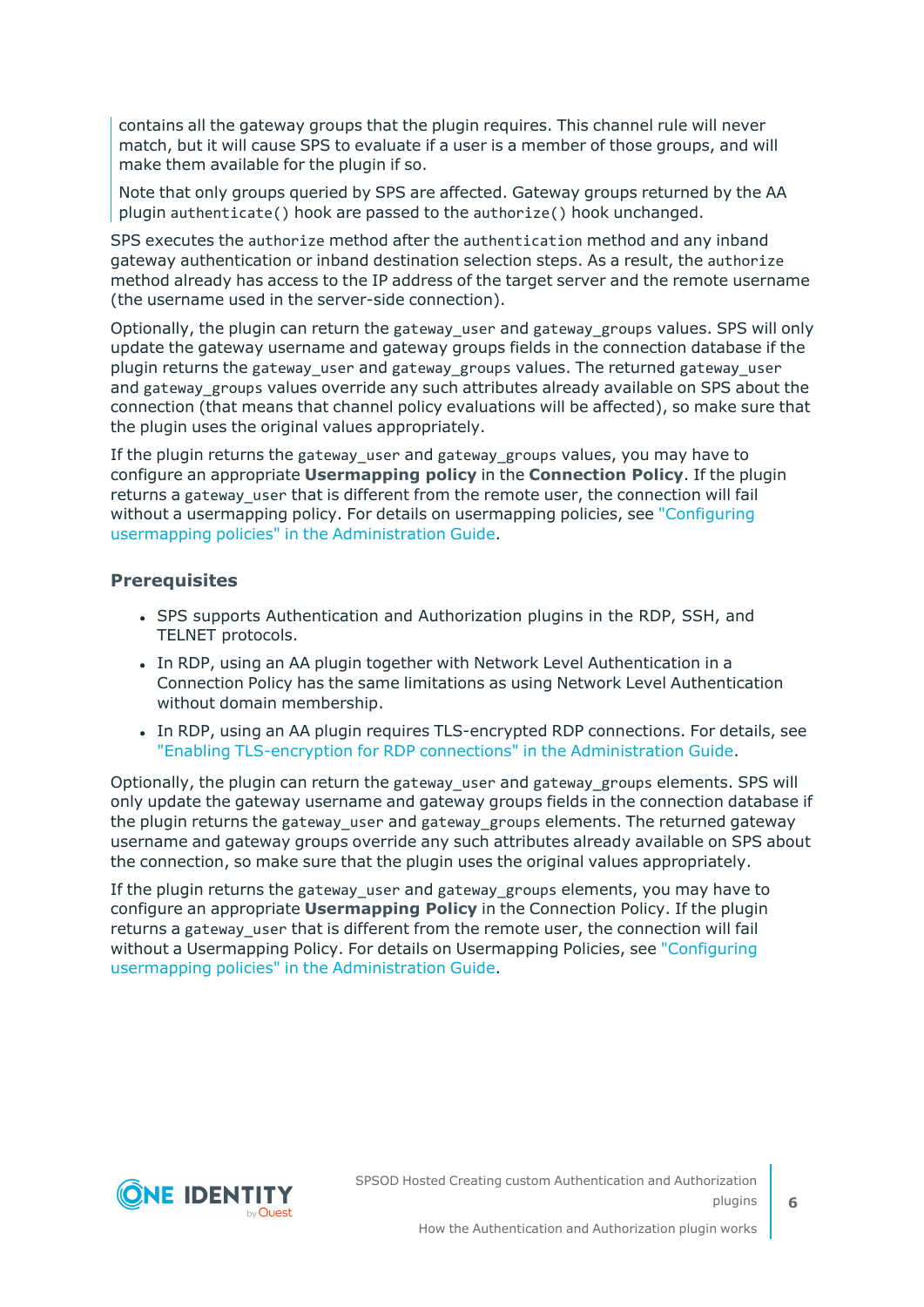contains all the gateway groups that the plugin requires. This channel rule will never match, but it will cause SPS to evaluate if a user is a member of those groups, and will make them available for the plugin if so.

Note that only groups queried by SPS are affected. Gateway groups returned by the AA plugin authenticate() hook are passed to the authorize() hook unchanged.

SPS executes the authorize method after the authentication method and any inband gateway authentication or inband destination selection steps. As a result, the authorize method already has access to the IP address of the target server and the remote username (the username used in the server-side connection).

Optionally, the plugin can return the gateway\_user and gateway\_groups values. SPS will only update the gateway username and gateway groups fields in the connection database if the plugin returns the gateway user and gateway groups values. The returned gateway user and gateway groups values override any such attributes already available on SPS about the connection (that means that channel policy evaluations will be affected), so make sure that the plugin uses the original values appropriately.

If the plugin returns the gateway user and gateway groups values, you may have to configure an appropriate **Usermapping policy** in the **Connection Policy**. If the plugin returns a gateway\_user that is different from the remote user, the connection will fail without a usermapping policy. For details on usermapping policies, see ["Configuring](https://support.oneidentity.com/technical-documents/safeguard-for-privileged-sessions/6.13.1/administration-guide/advanced-authentication-and-authorization-techniques/configuring-usermapping-policies/)" usermapping policies" in the [Administration](https://support.oneidentity.com/technical-documents/safeguard-for-privileged-sessions/6.13.1/administration-guide/advanced-authentication-and-authorization-techniques/configuring-usermapping-policies/) Guide.

#### **Prerequisites**

- SPS supports Authentication and Authorization plugins in the RDP, SSH, and TELNET protocols.
- In RDP, using an AA plugin together with Network Level Authentication in a Connection Policy has the same limitations as using Network Level Authentication without domain membership.
- In RDP, using an AA plugin requires TLS-encrypted RDP connections. For details, see "Enabling [TLS-encryption](https://support.oneidentity.com/technical-documents/safeguard-for-privileged-sessions/6.13.1/administration-guide/rdp-specific-settings/enabling-tls-encryption-for-rdp-connections/) for RDP connections" in the Administration Guide.

Optionally, the plugin can return the gateway user and gateway groups elements. SPS will only update the gateway username and gateway groups fields in the connection database if the plugin returns the gateway\_user and gateway\_groups elements. The returned gateway username and gateway groups override any such attributes already available on SPS about the connection, so make sure that the plugin uses the original values appropriately.

If the plugin returns the gateway\_user and gateway\_groups elements, you may have to configure an appropriate **Usermapping Policy** in the Connection Policy. If the plugin returns a gateway user that is different from the remote user, the connection will fail without a Usermapping Policy. For details on Usermapping Policies, see ["Configuring](https://support.oneidentity.com/technical-documents/safeguard-for-privileged-sessions/6.13.1/administration-guide/advanced-authentication-and-authorization-techniques/configuring-usermapping-policies/) usermapping policies" in the [Administration](https://support.oneidentity.com/technical-documents/safeguard-for-privileged-sessions/6.13.1/administration-guide/advanced-authentication-and-authorization-techniques/configuring-usermapping-policies/) Guide.

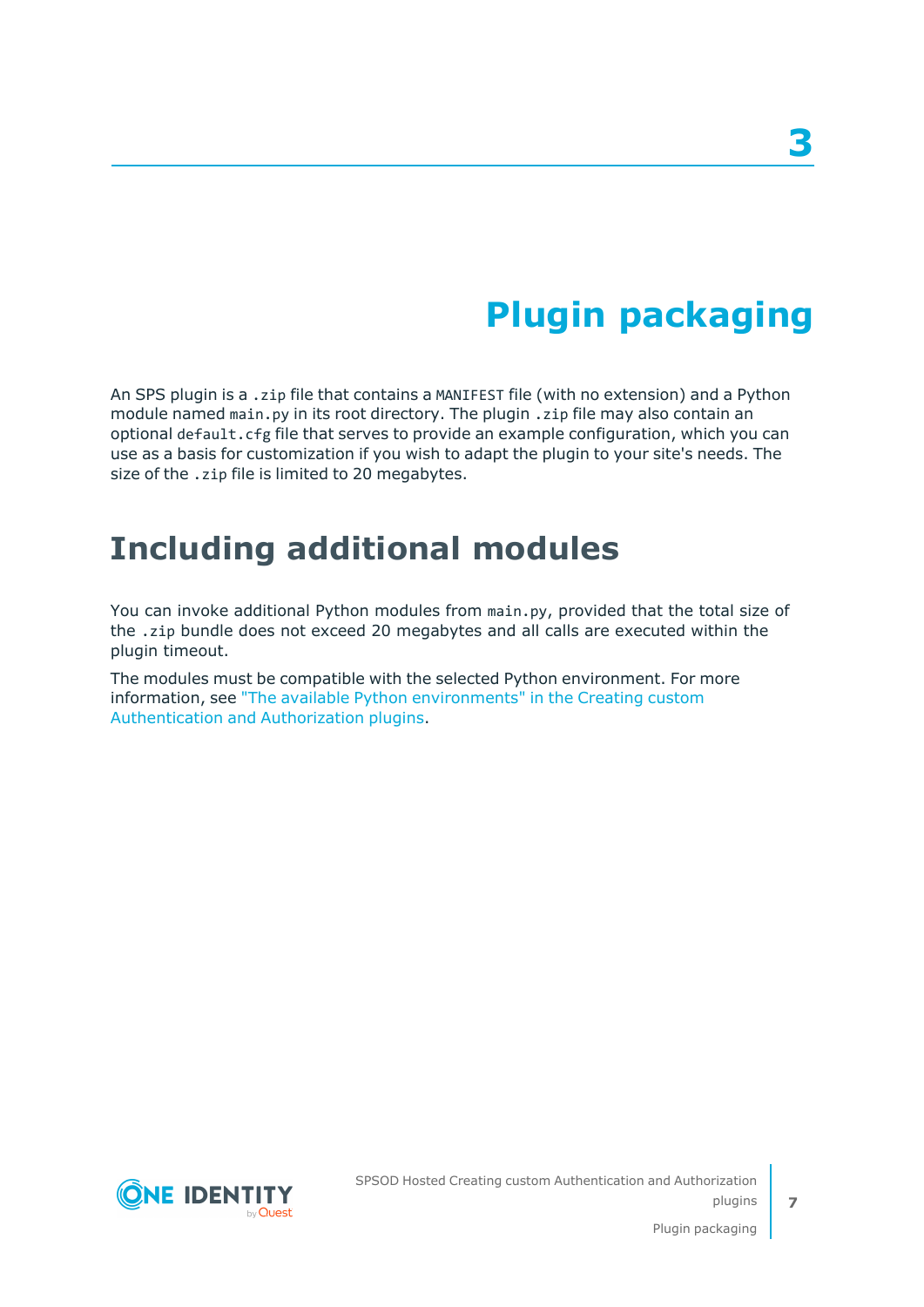# **Plugin packaging**

**3**

<span id="page-6-0"></span>An SPS plugin is a .zip file that contains a MANIFEST file (with no extension) and a Python module named main.py in its root directory. The plugin .zip file may also contain an optional default.cfg file that serves to provide an example configuration, which you can use as a basis for customization if you wish to adapt the plugin to your site's needs. The size of the .zip file is limited to 20 megabytes.

## <span id="page-6-1"></span>**Including additional modules**

You can invoke additional Python modules from main.py, provided that the total size of the .zip bundle does not exceed 20 megabytes and all calls are executed within the plugin timeout.

The modules must be compatible with the selected Python environment. For more information, see "The available Python [environments"](https://support.oneidentity.com/technical-documents/safeguard-for-privileged-sessions/6.13.1/creating-custom-authentication-and-authorization-plugins/) in the Creating custom [Authentication](https://support.oneidentity.com/technical-documents/safeguard-for-privileged-sessions/6.13.1/creating-custom-authentication-and-authorization-plugins/) and Authorization plugins.



**7**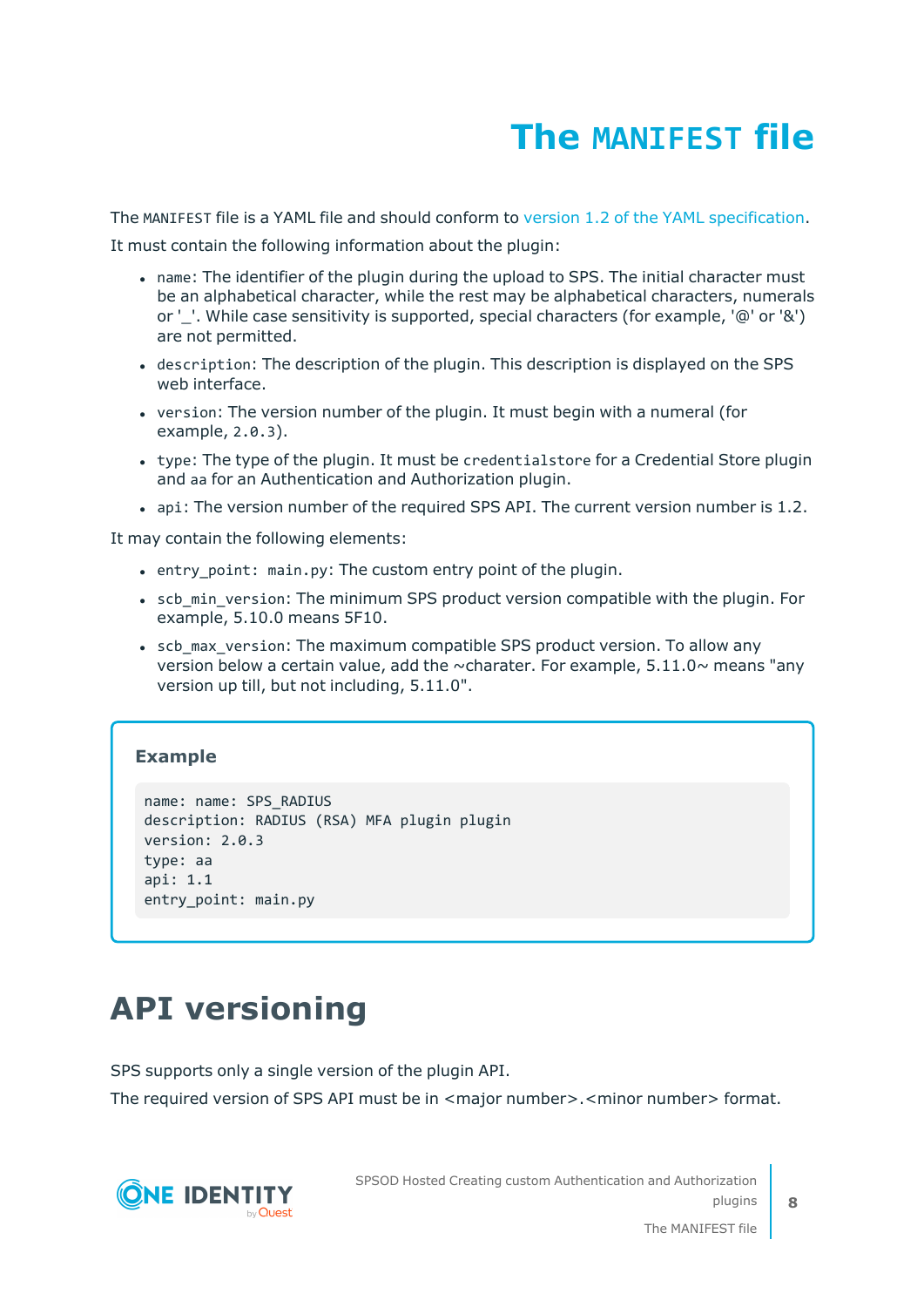# **The MANIFEST file**

<span id="page-7-0"></span>The MANIFEST file is a YAML file and should conform to version 1.2 of the YAML [specification.](http://yaml.org/spec/)

It must contain the following information about the plugin:

- name: The identifier of the plugin during the upload to SPS. The initial character must be an alphabetical character, while the rest may be alphabetical characters, numerals or '. While case sensitivity is supported, special characters (for example, '@' or '&') are not permitted.
- description: The description of the plugin. This description is displayed on the SPS web interface.
- version: The version number of the plugin. It must begin with a numeral (for example, 2.0.3).
- type: The type of the plugin. It must be credentialstore for a Credential Store plugin and aa for an Authentication and Authorization plugin.
- api: The version number of the required SPS API. The current version number is 1.2.

It may contain the following elements:

- entry point: main.py: The custom entry point of the plugin.
- scb min version: The minimum SPS product version compatible with the plugin. For example, 5.10.0 means 5F10.
- scb max version: The maximum compatible SPS product version. To allow any version below a certain value, add the  $\sim$ charater. For example, 5.11.0 $\sim$  means "any version up till, but not including, 5.11.0".

### **Example**

```
name: name: SPS_RADIUS
description: RADIUS (RSA) MFA plugin plugin
version: 2.0.3
type: aa
api: 1.1
entry_point: main.py
```
## <span id="page-7-1"></span>**API versioning**

SPS supports only a single version of the plugin API.

The required version of SPS API must be in <major number>.<minor number> format.

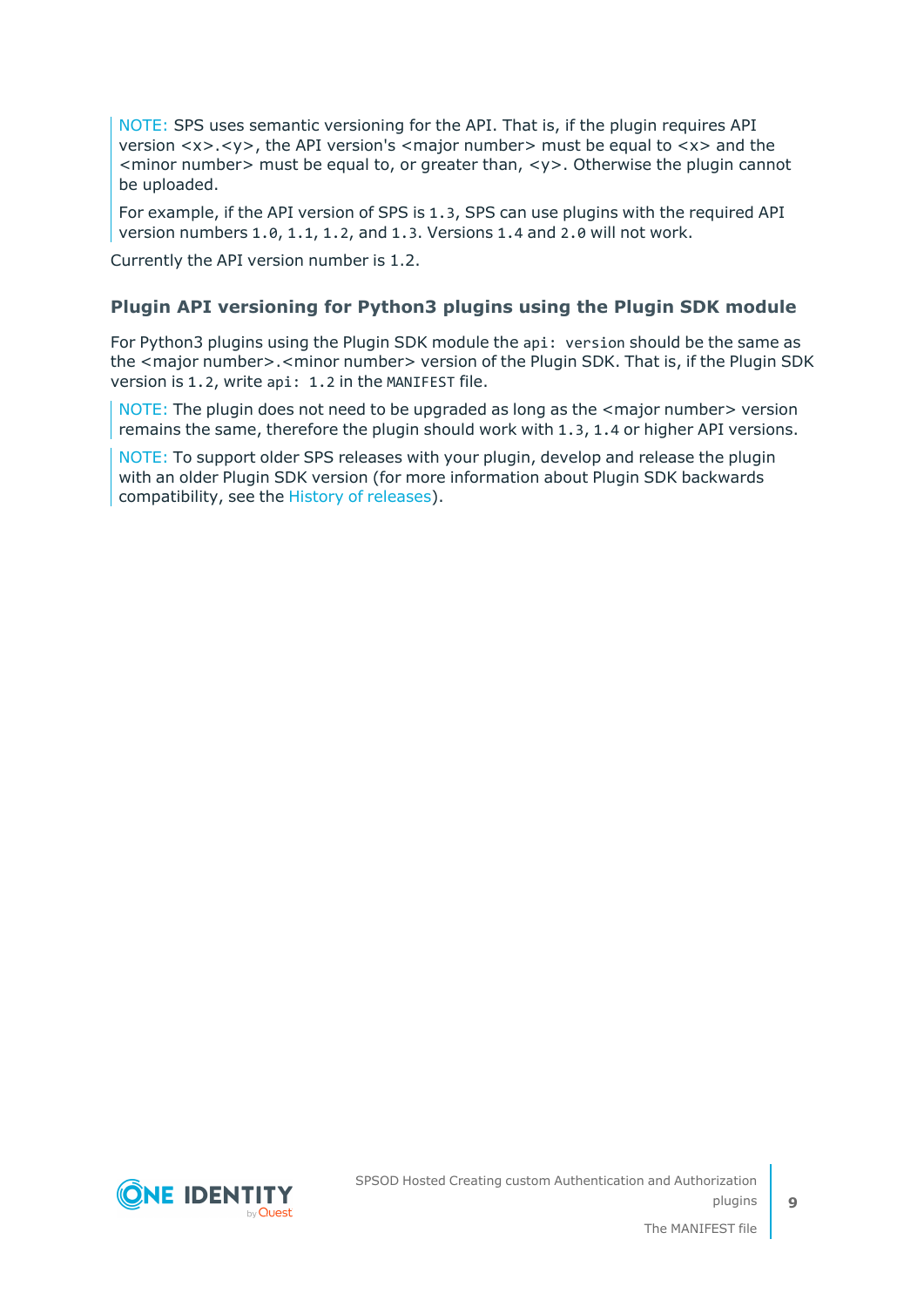NOTE: SPS uses semantic versioning for the API. That is, if the plugin requires API version <x>.<y>, the API version's <major number> must be equal to <x> and the  $\leq$ minor number  $\geq$  must be equal to, or greater than,  $\lt$ y  $\geq$ . Otherwise the plugin cannot be uploaded.

For example, if the API version of SPS is 1.3, SPS can use plugins with the required API version numbers 1.0, 1.1, 1.2, and 1.3. Versions 1.4 and 2.0 will not work.

Currently the API version number is 1.2.

### **Plugin API versioning for Python3 plugins using the Plugin SDK module**

For Python3 plugins using the Plugin SDK module the api: version should be the same as the <major number>.<minor number> version of the Plugin SDK. That is, if the Plugin SDK version is 1.2, write api: 1.2 in the MANIFEST file.

NOTE: The plugin does not need to be upgraded as long as the <major number> version remains the same, therefore the plugin should work with 1.3, 1.4 or higher API versions.

NOTE: To support older SPS releases with your plugin, develop and release the plugin with an older Plugin SDK version (for more information about Plugin SDK backwards compatibility, see the History of [releases](https://oneidentity.github.io/safeguard-sessions-plugin-sdk/latest/history.html)).

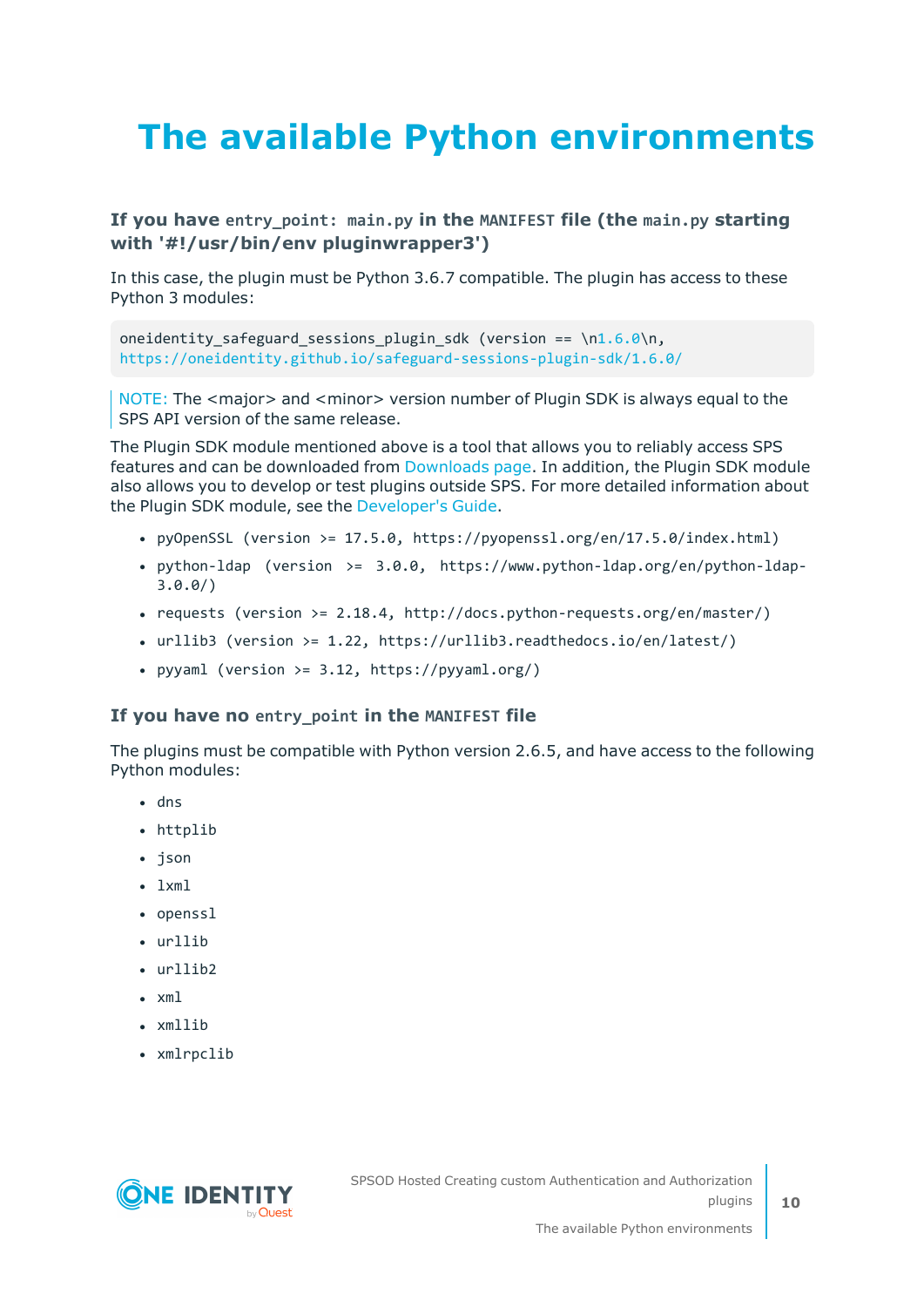# <span id="page-9-0"></span>**The available Python environments**

### **If you have entry\_point: main.py in the MANIFEST file (the main.py starting with '#!/usr/bin/env pluginwrapper3')**

In this case, the plugin must be Python 3.6.7 compatible. The plugin has access to these Python 3 modules:

oneidentity safeguard sessions plugin sdk (version == \[n1.6.0\](https://oneidentity.github.io/safeguard-sessions-plugin-sdk/1.6.0/index.html)n, <https://oneidentity.github.io/safeguard-sessions-plugin-sdk/1.6.0/>

NOTE: The <major> and <minor> version number of Plugin SDK is always equal to the SPS API version of the same release.

The Plugin SDK module mentioned above is a tool that allows you to reliably access SPS features and can be downloaded from [Downloads](https://support.oneidentity.com/my-downloads) page. In addition, the Plugin SDK module also allows you to develop or test plugins outside SPS. For more detailed information about the Plugin SDK module, see the [Developer's](https://oneidentity.github.io/safeguard-sessions-plugin-sdk/1.2.0/index.html) Guide.

- <sup>l</sup> pyOpenSSL (version >= 17.5.0, https://pyopenssl.org/en/17.5.0/index.html)
- python-ldap (version >=  $3.0.0$ , https://www.python-ldap.org/en/python-ldap-3.0.0/)
- requests (version  $>= 2.18.4$ , http://docs.python-requests.org/en/master/)
- <sup>l</sup> urllib3 (version >= 1.22, https://urllib3.readthedocs.io/en/latest/)
- pyyaml (version >=  $3.12$ , https://pyyaml.org/)

#### **If you have no entry\_point in the MANIFEST file**

The plugins must be compatible with Python version 2.6.5, and have access to the following Python modules:

- $\cdot$  dns
- httplib
- json
- $\cdot$  lxml
- openssl
- urllib
- $\cdot$  urllib2
- $\cdot$  xml
- xmllib
- xmlrpclib

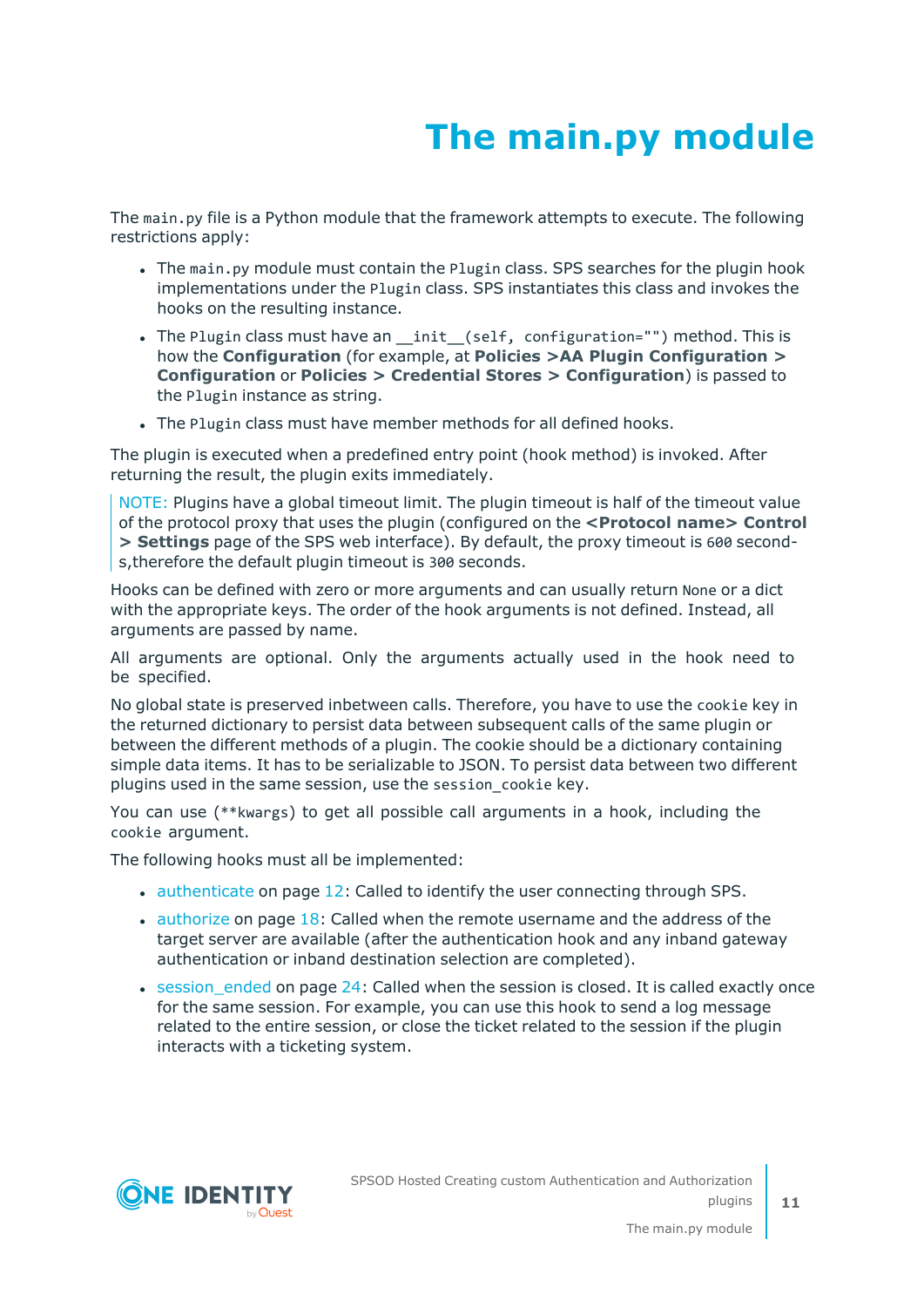# **The main.py module**

<span id="page-10-0"></span>The main.py file is a Python module that the framework attempts to execute. The following restrictions apply:

- The main.py module must contain the Plugin class. SPS searches for the plugin hook implementations under the Plugin class. SPS instantiates this class and invokes the hooks on the resulting instance.
- The Plugin class must have an \_init\_(self, configuration="") method. This is how the **Configuration** (for example, at **Policies >AA Plugin Configuration > Configuration** or **Policies > Credential Stores > Configuration**) is passed to the Plugin instance as string.
- The Plugin class must have member methods for all defined hooks.

The plugin is executed when a predefined entry point (hook method) is invoked. After returning the result, the plugin exits immediately.

NOTE: Plugins have a global timeout limit. The plugin timeout is half of the timeout value of the protocol proxy that uses the plugin (configured on the **<Protocol name> Control > Settings** page of the SPS web interface). By default, the proxy timeout is 600 seconds,therefore the default plugin timeout is 300 seconds.

Hooks can be defined with zero or more arguments and can usually return None or a dict with the appropriate keys. The order of the hook arguments is not defined. Instead, all arguments are passed by name.

All arguments are optional. Only the arguments actually used in the hook need to be specified.

No global state is preserved inbetween calls. Therefore, you have to use the cookie key in the returned dictionary to persist data between subsequent calls of the same plugin or between the different methods of a plugin. The cookie should be a dictionary containing simple data items. It has to be serializable to JSON. To persist data between two different plugins used in the same session, use the session\_cookie key.

You can use (\*\*kwargs) to get all possible call arguments in a hook, including the cookie argument.

The following hooks must all be implemented:

- $\bullet$  [authenticate](#page-11-0) on page 12: Called to identify the user connecting through SPS.
- $\bullet$  [authorize](#page-17-0) on page 18: Called when the remote username and the address of the target server are available (after the authentication hook and any inband gateway authentication or inband destination selection are completed).
- $\bullet$  session ended on page 24: Called when the session is closed. It is called exactly once for the same session. For example, you can use this hook to send a log message related to the entire session, or close the ticket related to the session if the plugin interacts with a ticketing system.

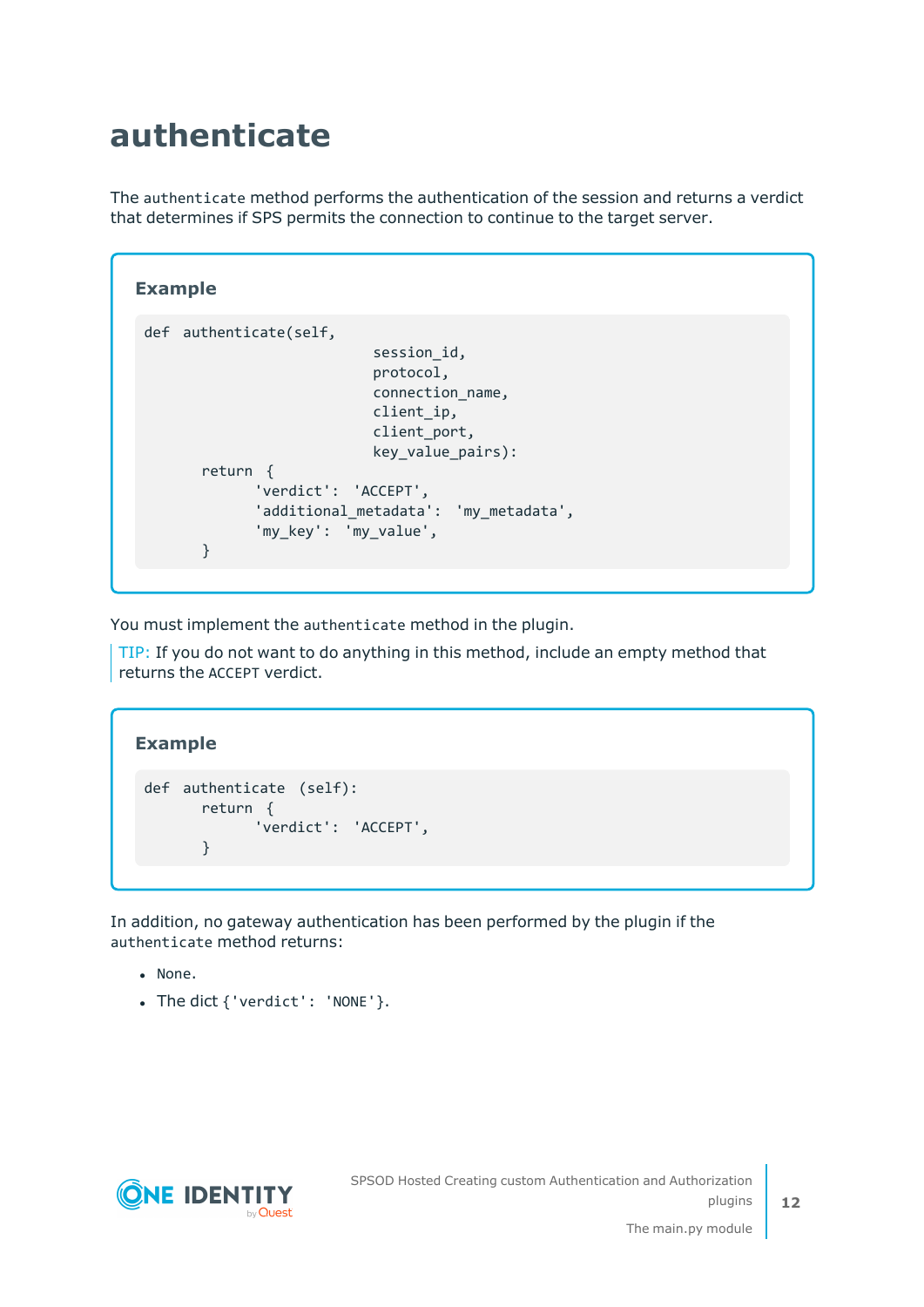## <span id="page-11-0"></span>**authenticate**

The authenticate method performs the authentication of the session and returns a verdict that determines if SPS permits the connection to continue to the target server.

```
Example
 def authenticate(self,
                            session_id,
                            protocol,
                            connection_name,
                            client ip,
                            client port,
                            key value pairs):
       return {
              'verdict': 'ACCEPT',
              'additional_metadata': 'my_metadata',
              'my_key': 'my_value',
       }
```
You must implement the authenticate method in the plugin.

TIP: If you do not want to do anything in this method, include an empty method that returns the ACCEPT verdict.

```
Example
 def authenticate (self):
       return {
             'verdict': 'ACCEPT',
       }
```
In addition, no gateway authentication has been performed by the plugin if the authenticate method returns:

- None.
- The dict { 'verdict': 'NONE'}.

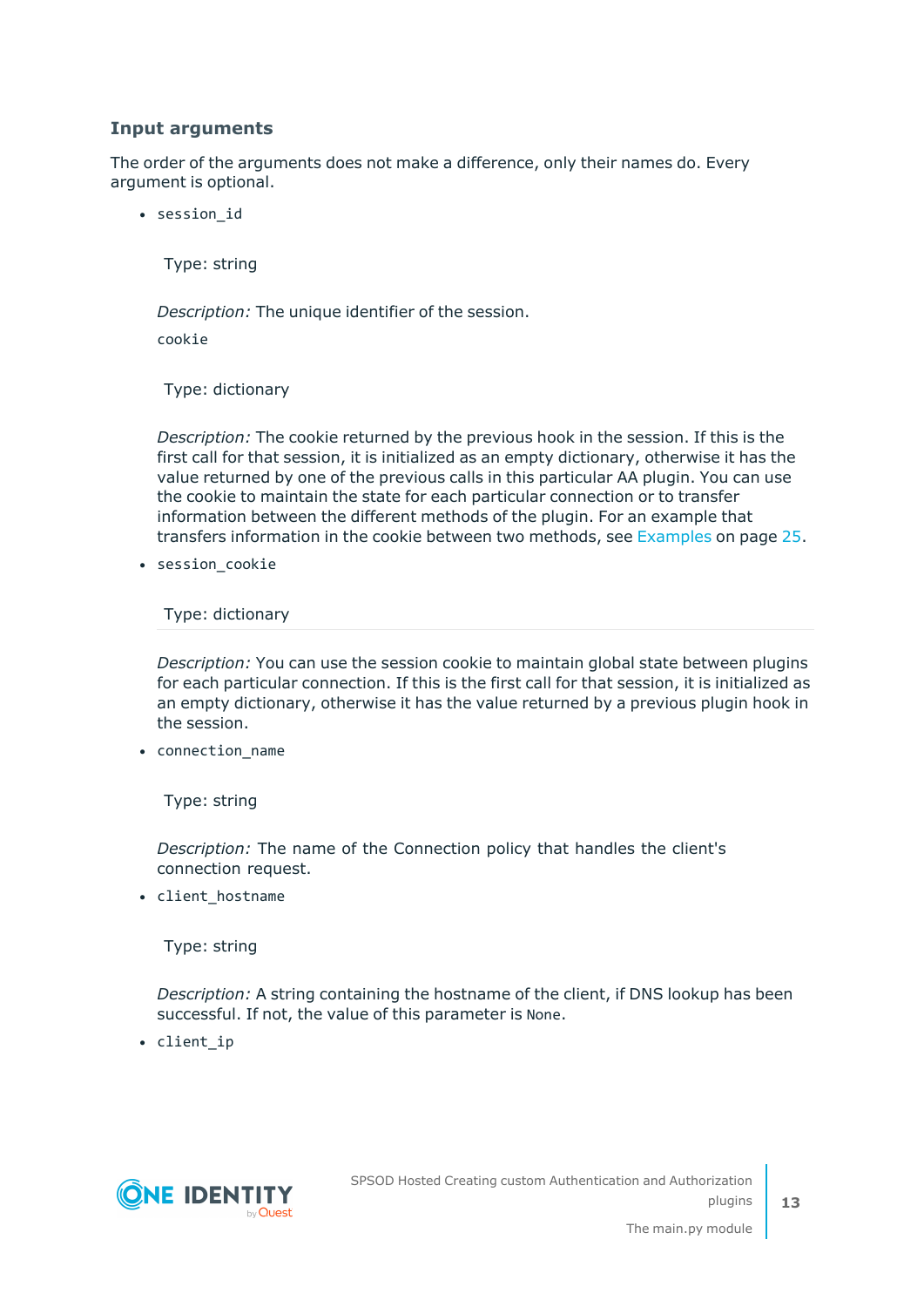### **Input arguments**

The order of the arguments does not make a difference, only their names do. Every argument is optional.

• session id

Type: string

*Description:* The unique identifier of the session.

cookie

Type: dictionary

*Description:* The cookie returned by the previous hook in the session. If this is the first call for that session, it is initialized as an empty dictionary, otherwise it has the value returned by one of the previous calls in this particular AA plugin. You can use the cookie to maintain the state for each particular connection or to transfer information between the different methods of the plugin. For an example that transfers information in the cookie between two methods, see [Examples](#page-24-0) on page 25.

• session cookie

Type: dictionary

*Description:* You can use the session cookie to maintain global state between plugins for each particular connection. If this is the first call for that session, it is initialized as an empty dictionary, otherwise it has the value returned by a previous plugin hook in the session.

• connection\_name

Type: string

*Description:* The name of the Connection policy that handles the client's connection request.

• client\_hostname

Type: string

*Description:* A string containing the hostname of the client, if DNS lookup has been successful. If not, the value of this parameter is None.

• client\_ip

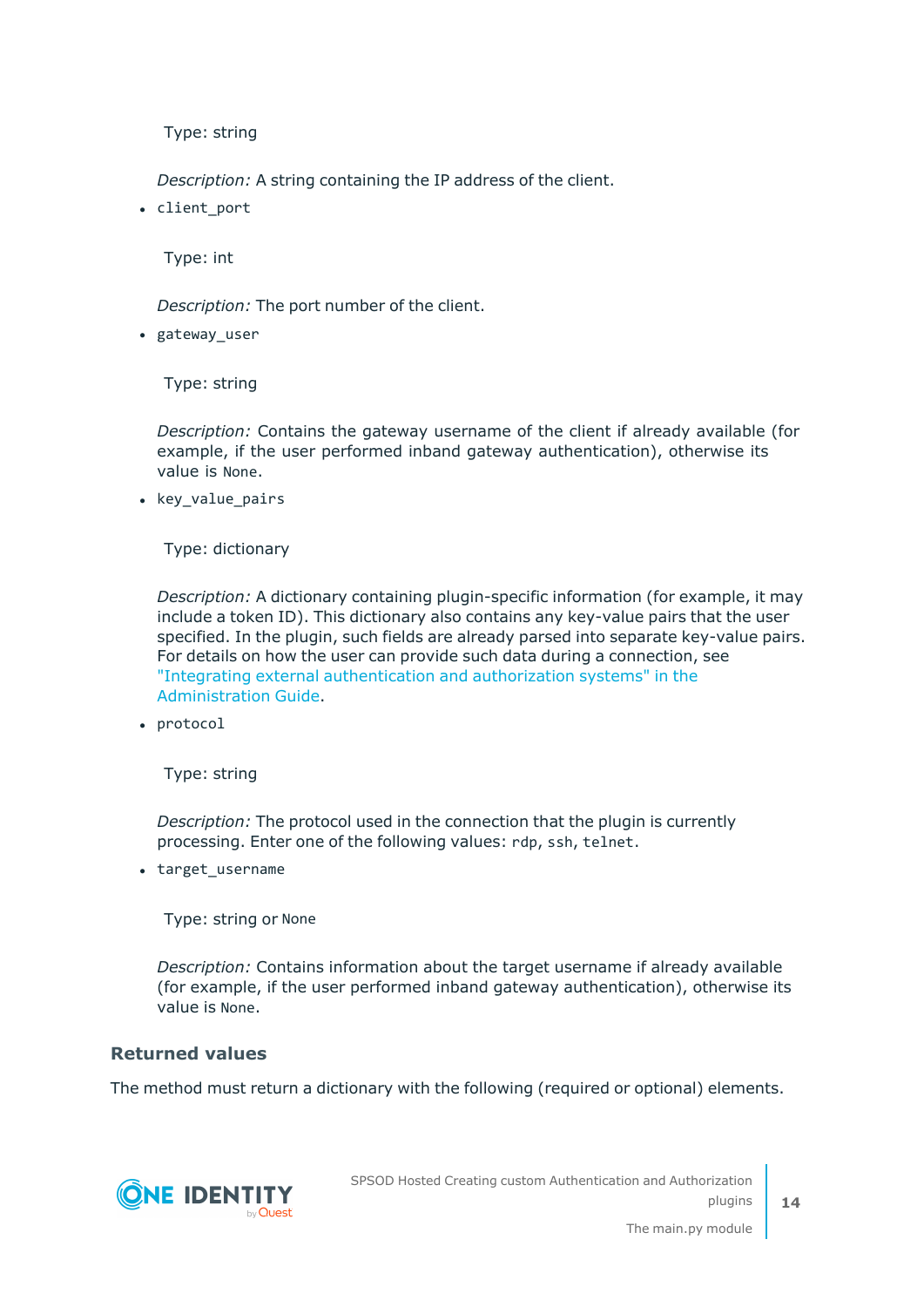*Description:* A string containing the IP address of the client.

• client port

Type: int

*Description:* The port number of the client.

• gateway user

Type: string

*Description:* Contains the gateway username of the client if already available (for example, if the user performed inband gateway authentication), otherwise its value is None.

• key value pairs

Type: dictionary

*Description:* A dictionary containing plugin-specific information (for example, it may include a token ID). This dictionary also contains any key-value pairs that the user specified. In the plugin, such fields are already parsed into separate key-value pairs. For details on how the user can provide such data during a connection, see "Integrating external [authentication](https://support.oneidentity.com/technical-documents/safeguard-for-privileged-sessions/6.13.1/administration-guide/advanced-authentication-and-authorization-techniques/integrating-external-authentication-and-authorization-systems/) and authorization systems" in the [Administration](https://support.oneidentity.com/technical-documents/safeguard-for-privileged-sessions/6.13.1/administration-guide/advanced-authentication-and-authorization-techniques/integrating-external-authentication-and-authorization-systems/) Guide.

• protocol

Type: string

*Description:* The protocol used in the connection that the plugin is currently processing. Enter one of the following values: rdp, ssh, telnet.

• target\_username

Type: string or None

*Description:* Contains information about the target username if already available (for example, if the user performed inband gateway authentication), otherwise its value is None.

### **Returned values**

The method must return a dictionary with the following (required or optional) elements.

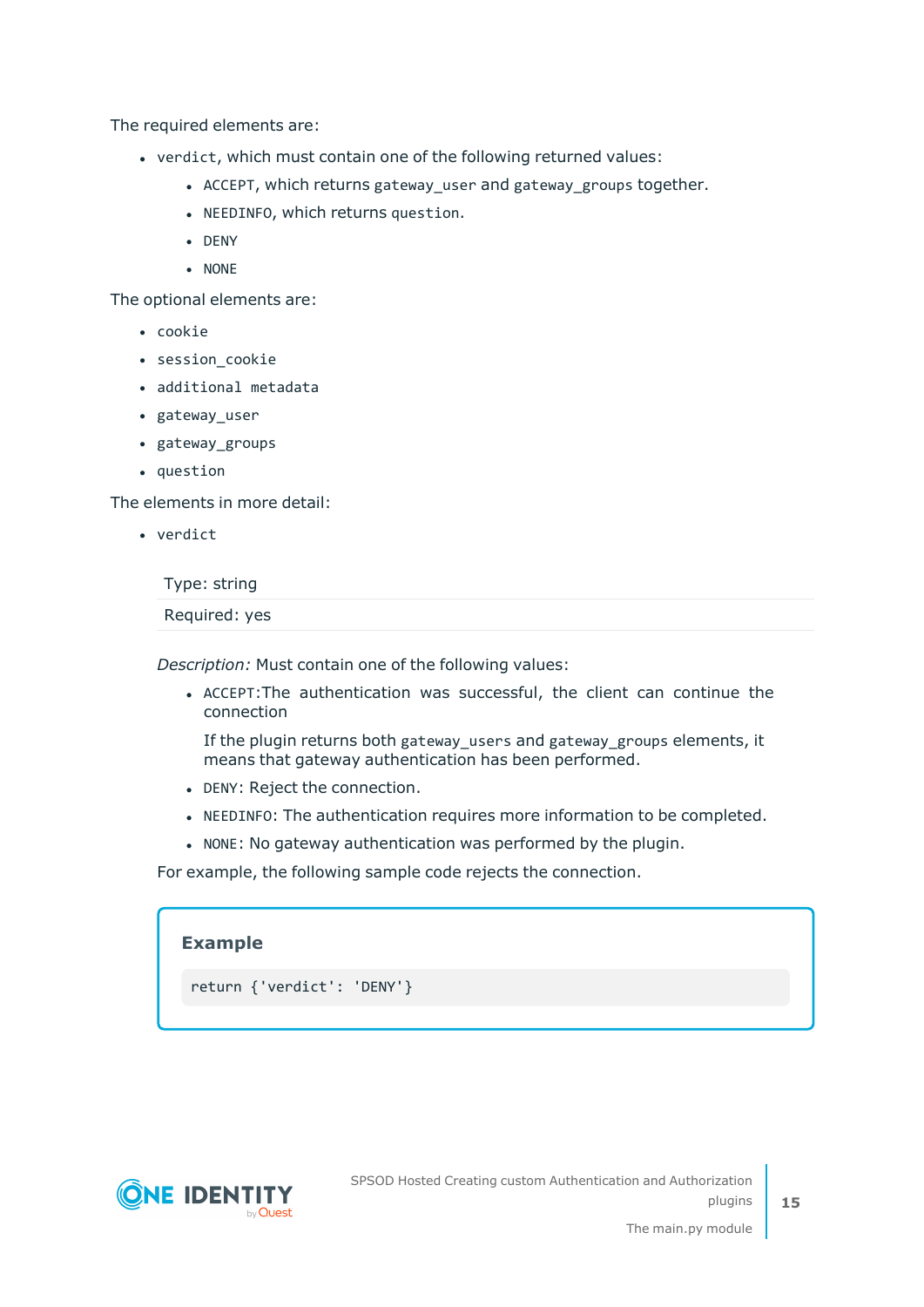The required elements are:

- verdict, which must contain one of the following returned values:
	- ACCEPT, which returns gateway\_user and gateway\_groups together.
	- NEEDINFO, which returns question.
	- $\bullet$  DENY
	- $\bullet$  NONE

The optional elements are:

- cookie
- session cookie
- additional metadata
- gateway\_user
- gateway\_groups
- question

The elements in more detail:

• verdict

Type: string

Required: yes

*Description:* Must contain one of the following values:

<sup>l</sup> ACCEPT:The authentication was successful, the client can continue the connection

If the plugin returns both gateway\_users and gateway\_groups elements, it means that gateway authentication has been performed.

- DENY: Reject the connection.
- . NEEDINFO: The authentication requires more information to be completed.
- NONE: No gateway authentication was performed by the plugin.

For example, the following sample code rejects the connection.

| <b>Example</b>             |  |  |
|----------------------------|--|--|
| return {'verdict': 'DENY'} |  |  |

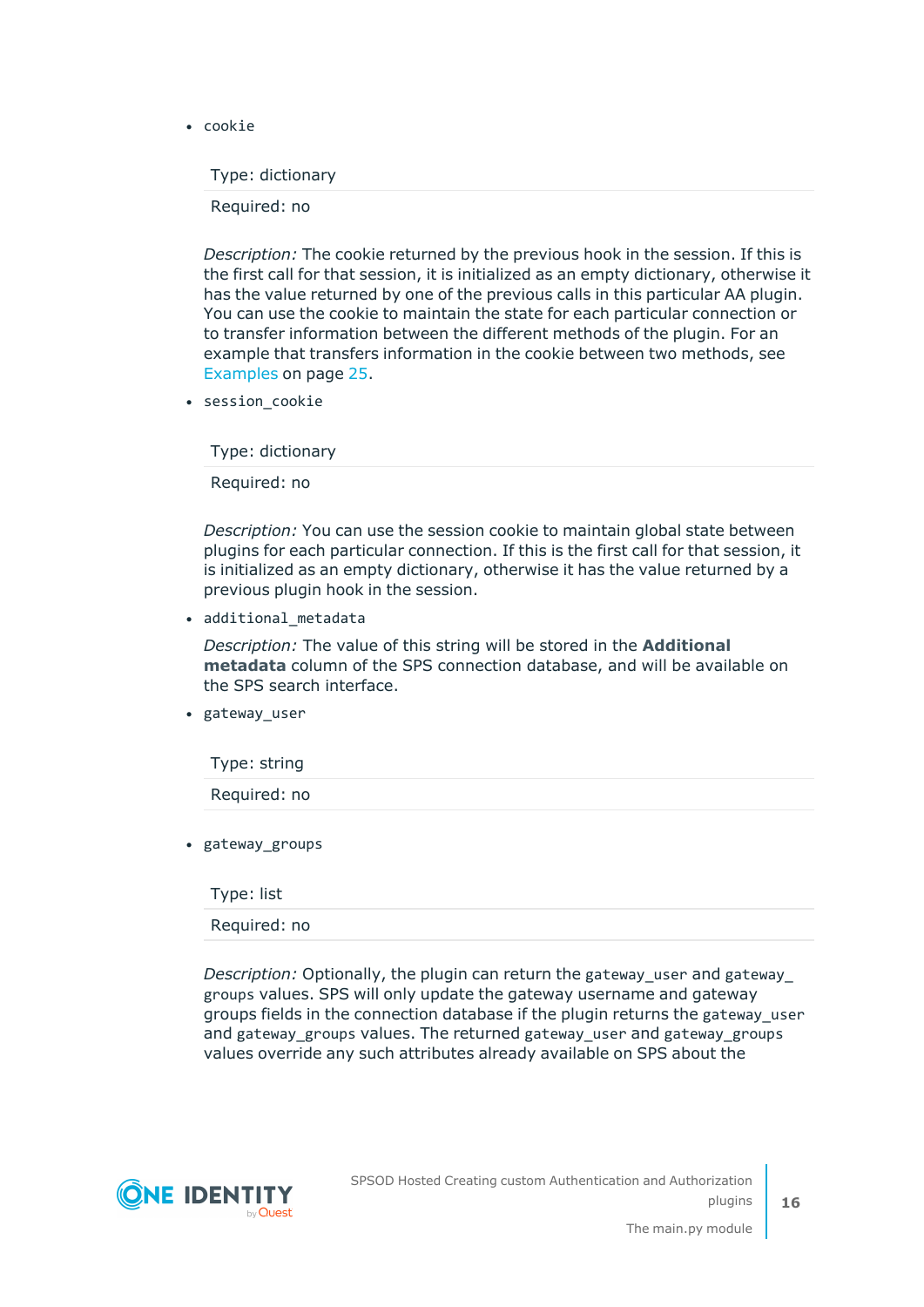• cookie

Type: dictionary

Required: no

*Description:* The cookie returned by the previous hook in the session. If this is the first call for that session, it is initialized as an empty dictionary, otherwise it has the value returned by one of the previous calls in this particular AA plugin. You can use the cookie to maintain the state for each particular connection or to transfer information between the different methods of the plugin. For an example that transfers information in the cookie between two methods, see [Examples](#page-24-0) on page 25.

• session cookie

Type: dictionary

Required: no

*Description:* You can use the session cookie to maintain global state between plugins for each particular connection. If this is the first call for that session, it is initialized as an empty dictionary, otherwise it has the value returned by a previous plugin hook in the session.

• additional metadata

*Description:* The value of this string will be stored in the **Additional metadata** column of the SPS connection database, and will be available on the SPS search interface.

• gateway\_user

Type: string Required: no

• gateway\_groups

Type: list

Required: no

*Description:* Optionally, the plugin can return the gateway\_user and gateway\_ groups values. SPS will only update the gateway username and gateway groups fields in the connection database if the plugin returns the gateway\_user and gateway groups values. The returned gateway user and gateway groups values override any such attributes already available on SPS about the



**16**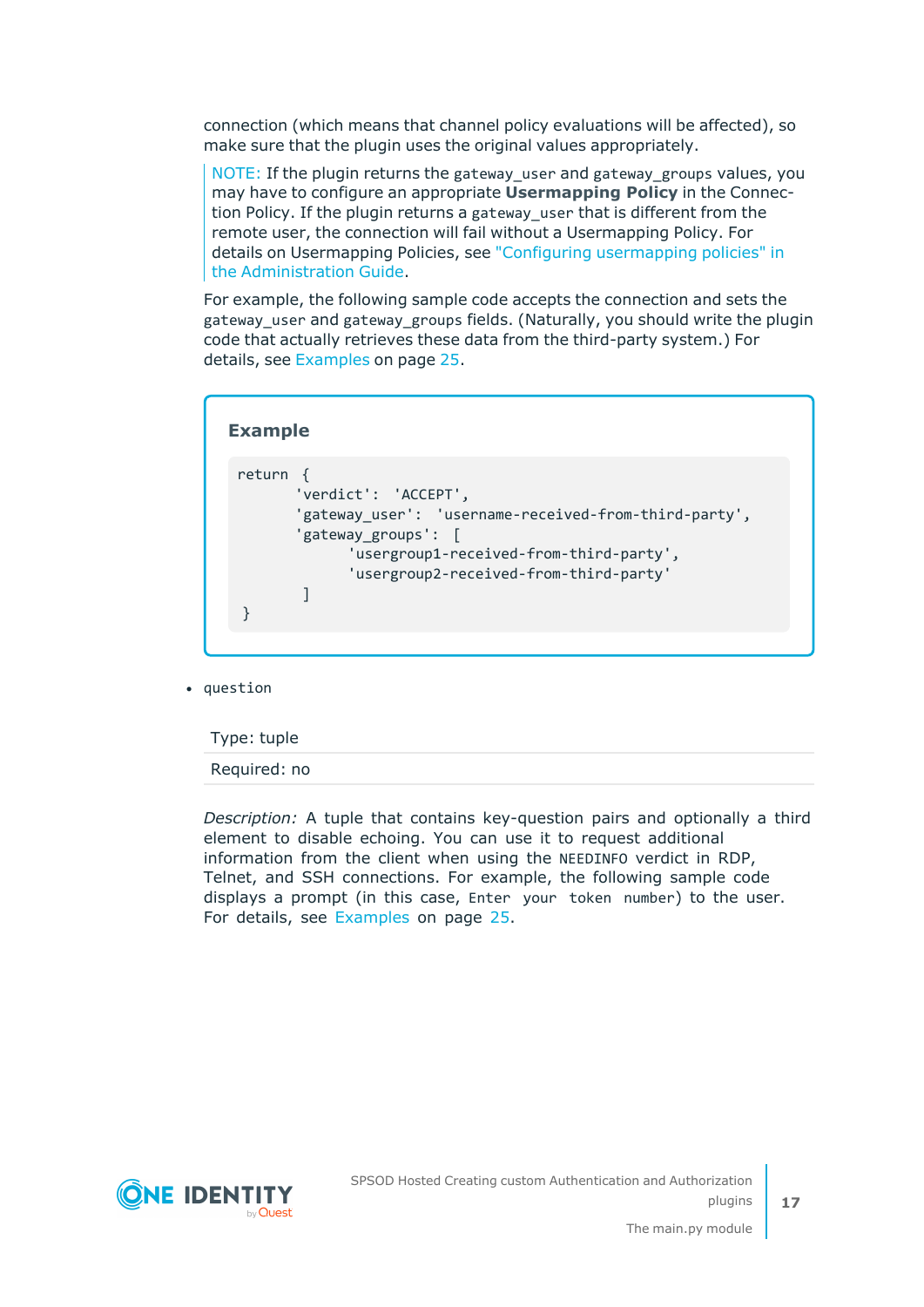connection (which means that channel policy evaluations will be affected), so make sure that the plugin uses the original values appropriately.

NOTE: If the plugin returns the gateway\_user and gateway\_groups values, you may have to configure an appropriate **Usermapping Policy** in the Connection Policy. If the plugin returns a gateway\_user that is different from the remote user, the connection will fail without a Usermapping Policy. For details on Usermapping Policies, see "Configuring [usermapping](https://support.oneidentity.com/technical-documents/safeguard-for-privileged-sessions/6.13.1/administration-guide/advanced-authentication-and-authorization-techniques/configuring-usermapping-policies/) policies" in the [Administration](https://support.oneidentity.com/technical-documents/safeguard-for-privileged-sessions/6.13.1/administration-guide/advanced-authentication-and-authorization-techniques/configuring-usermapping-policies/) Guide.

For example, the following sample code accepts the connection and sets the gateway\_user and gateway\_groups fields. (Naturally, you should write the plugin code that actually retrieves these data from the third-party system.) For details, see [Examples](#page-24-0) on page 25.

| return<br>'verdict': 'ACCEPT',<br>'gateway_user': 'username-received-from-third-party',<br>'gateway groups':<br>$\Box$<br>'usergroup1-received-from-third-party', |
|-------------------------------------------------------------------------------------------------------------------------------------------------------------------|
| 'usergroup2-received-from-third-party'                                                                                                                            |

• question

Type: tuple

Required: no

*Description:* A tuple that contains key-question pairs and optionally a third element to disable echoing. You can use it to request additional information from the client when using the NEEDINFO verdict in RDP, Telnet, and SSH connections. For example, the following sample code displays a prompt (in this case, Enter your token number) to the user. For details, see [Examples](#page-24-0) on page 25.

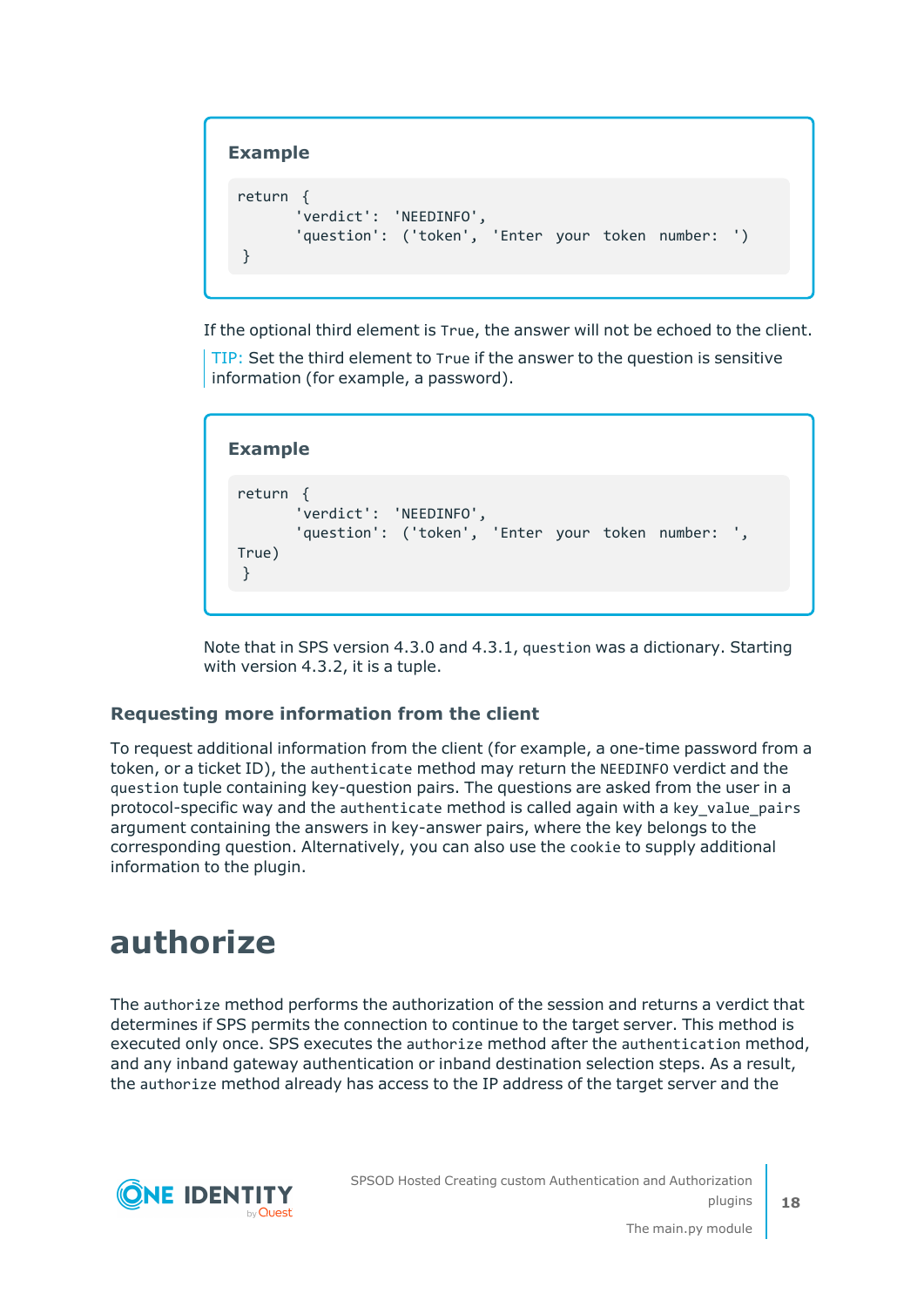### **Example**

```
return {
      'verdict': 'NEEDINFO',
      'question': ('token', 'Enter your token number: ')
}
```
If the optional third element is True, the answer will not be echoed to the client.

TIP: Set the third element to True if the answer to the question is sensitive information (for example, a password).

```
Example
 return {
        'verdict': 'NEEDINFO',
       'question': ('token', 'Enter your token number: ',
True)
 }
```
Note that in SPS version 4.3.0 and 4.3.1, question was a dictionary. Starting with version 4.3.2, it is a tuple.

### **Requesting more information from the client**

To request additional information from the client (for example, a one-time password from a token, or a ticket ID), the authenticate method may return the NEEDINFO verdict and the question tuple containing key-question pairs. The questions are asked from the user in a protocol-specific way and the authenticate method is called again with a key\_value\_pairs argument containing the answers in key-answer pairs, where the key belongs to the corresponding question. Alternatively, you can also use the cookie to supply additional information to the plugin.

### <span id="page-17-0"></span>**authorize**

The authorize method performs the authorization of the session and returns a verdict that determines if SPS permits the connection to continue to the target server. This method is executed only once. SPS executes the authorize method after the authentication method, and any inband gateway authentication or inband destination selection steps. As a result, the authorize method already has access to the IP address of the target server and the

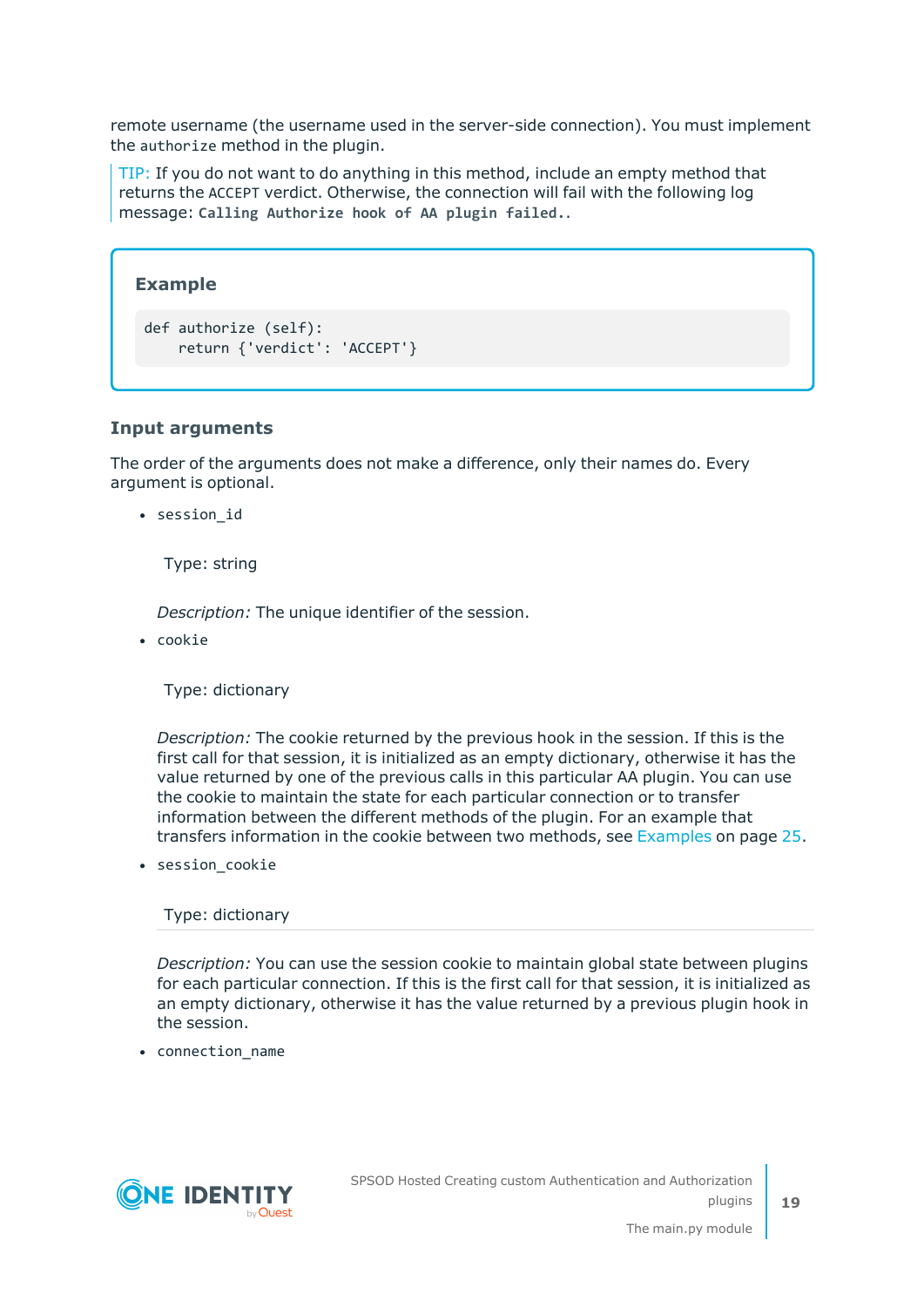remote username (the username used in the server-side connection). You must implement the authorize method in the plugin.

TIP: If you do not want to do anything in this method, include an empty method that returns the ACCEPT verdict. Otherwise, the connection will fail with the following log message: **Calling Authorize hook of AA plugin failed.**.

### **Example**

```
def authorize (self):
    return {'verdict': 'ACCEPT'}
```
### **Input arguments**

The order of the arguments does not make a difference, only their names do. Every argument is optional.

• session id

Type: string

*Description:* The unique identifier of the session.

• cookie

Type: dictionary

*Description:* The cookie returned by the previous hook in the session. If this is the first call for that session, it is initialized as an empty dictionary, otherwise it has the value returned by one of the previous calls in this particular AA plugin. You can use the cookie to maintain the state for each particular connection or to transfer information between the different methods of the plugin. For an example that transfers information in the cookie between two methods, see [Examples](#page-24-0) on page 25.

 $\bullet$  session\_cookie

Type: dictionary

*Description:* You can use the session cookie to maintain global state between plugins for each particular connection. If this is the first call for that session, it is initialized as an empty dictionary, otherwise it has the value returned by a previous plugin hook in the session.

• connection\_name

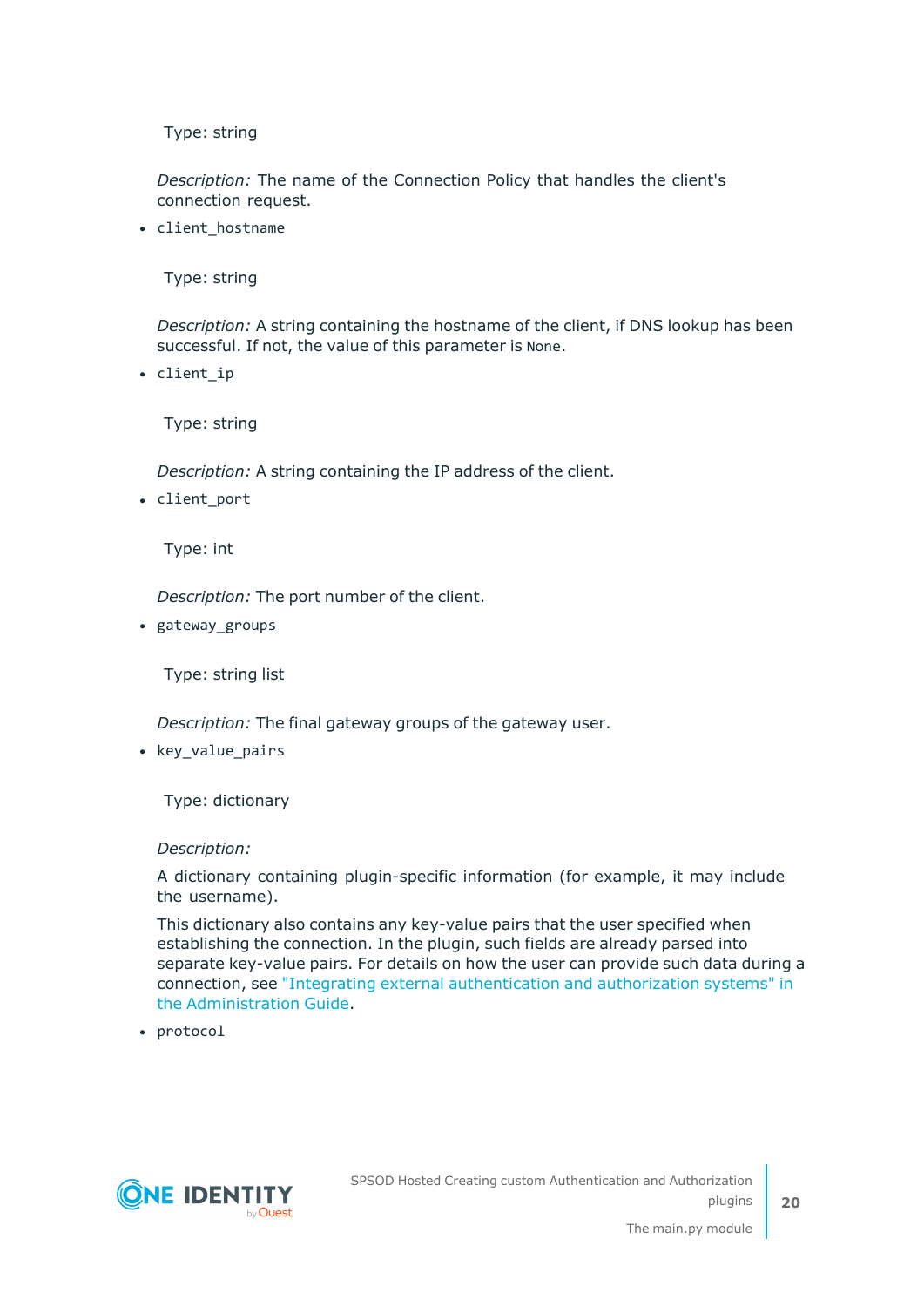*Description:* The name of the Connection Policy that handles the client's connection request.

• client\_hostname

Type: string

*Description:* A string containing the hostname of the client, if DNS lookup has been successful. If not, the value of this parameter is None.

• client ip

Type: string

*Description:* A string containing the IP address of the client.

• client port

Type: int

*Description:* The port number of the client.

• gateway\_groups

Type: string list

*Description:* The final gateway groups of the gateway user.

• key\_value\_pairs

Type: dictionary

#### *Description:*

A dictionary containing plugin-specific information (for example, it may include the username).

This dictionary also contains any key-value pairs that the user specified when establishing the connection. In the plugin, such fields are already parsed into separate key-value pairs. For details on how the user can provide such data during a connection, see "Integrating external [authentication](https://support.oneidentity.com/technical-documents/safeguard-for-privileged-sessions/6.13.1/administration-guide/advanced-authentication-and-authorization-techniques/integrating-external-authentication-and-authorization-systems/) and authorization systems" in the [Administration](https://support.oneidentity.com/technical-documents/safeguard-for-privileged-sessions/6.13.1/administration-guide/advanced-authentication-and-authorization-techniques/integrating-external-authentication-and-authorization-systems/) Guide.

• protocol

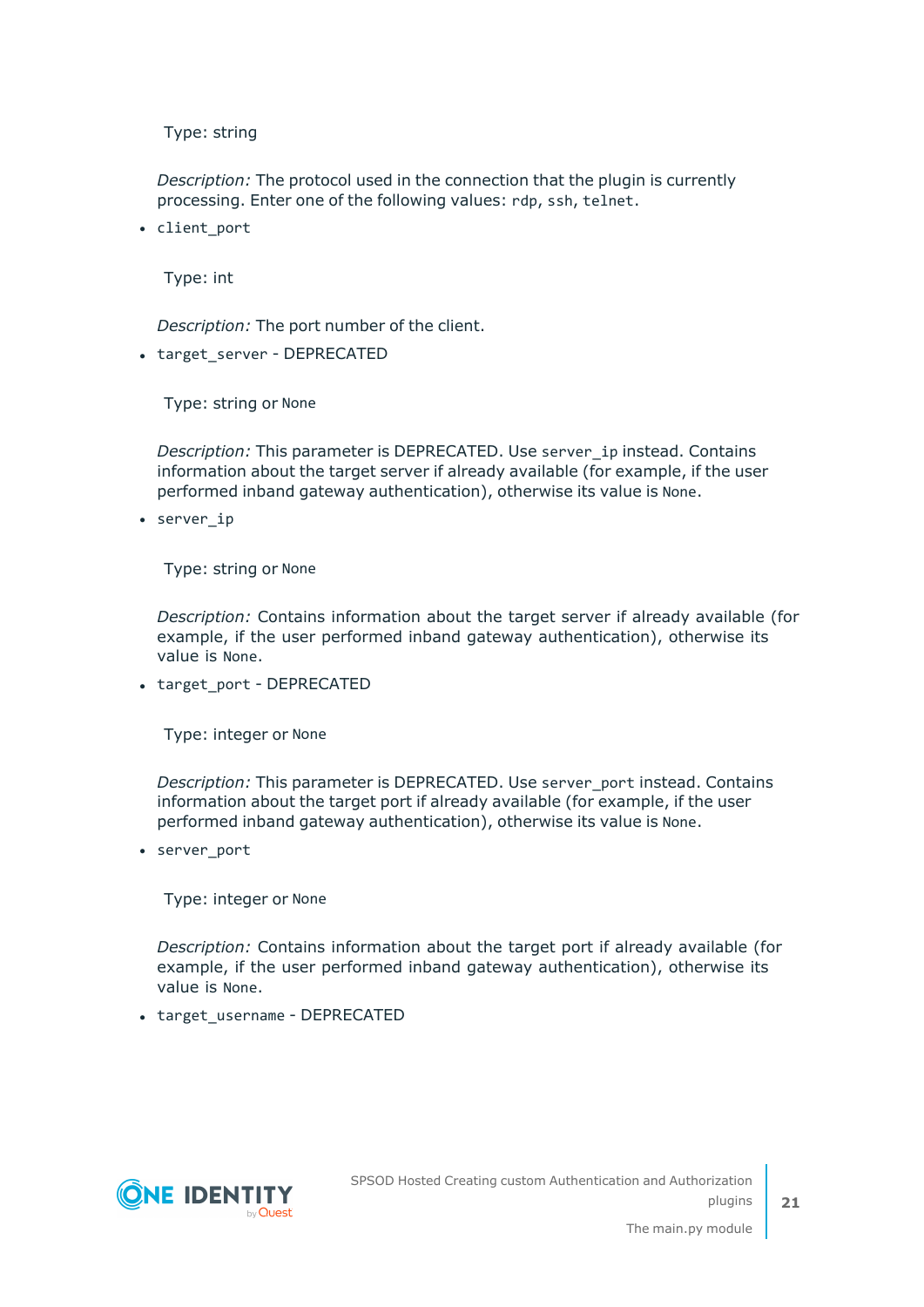*Description:* The protocol used in the connection that the plugin is currently processing. Enter one of the following values: rdp, ssh, telnet.

• client port

Type: int

*Description:* The port number of the client.

• target\_server - DEPRECATED

Type: string or None

*Description:* This parameter is DEPRECATED. Use server\_ip instead. Contains information about the target server if already available (for example, if the user performed inband gateway authentication), otherwise its value is None.

• server ip

Type: string or None

*Description:* Contains information about the target server if already available (for example, if the user performed inband gateway authentication), otherwise its value is None.

• target\_port - DEPRECATED

Type: integer or None

*Description:* This parameter is DEPRECATED. Use server\_port instead. Contains information about the target port if already available (for example, if the user performed inband gateway authentication), otherwise its value is None.

• server\_port

Type: integer or None

*Description:* Contains information about the target port if already available (for example, if the user performed inband gateway authentication), otherwise its value is None.

• target username - DEPRECATED

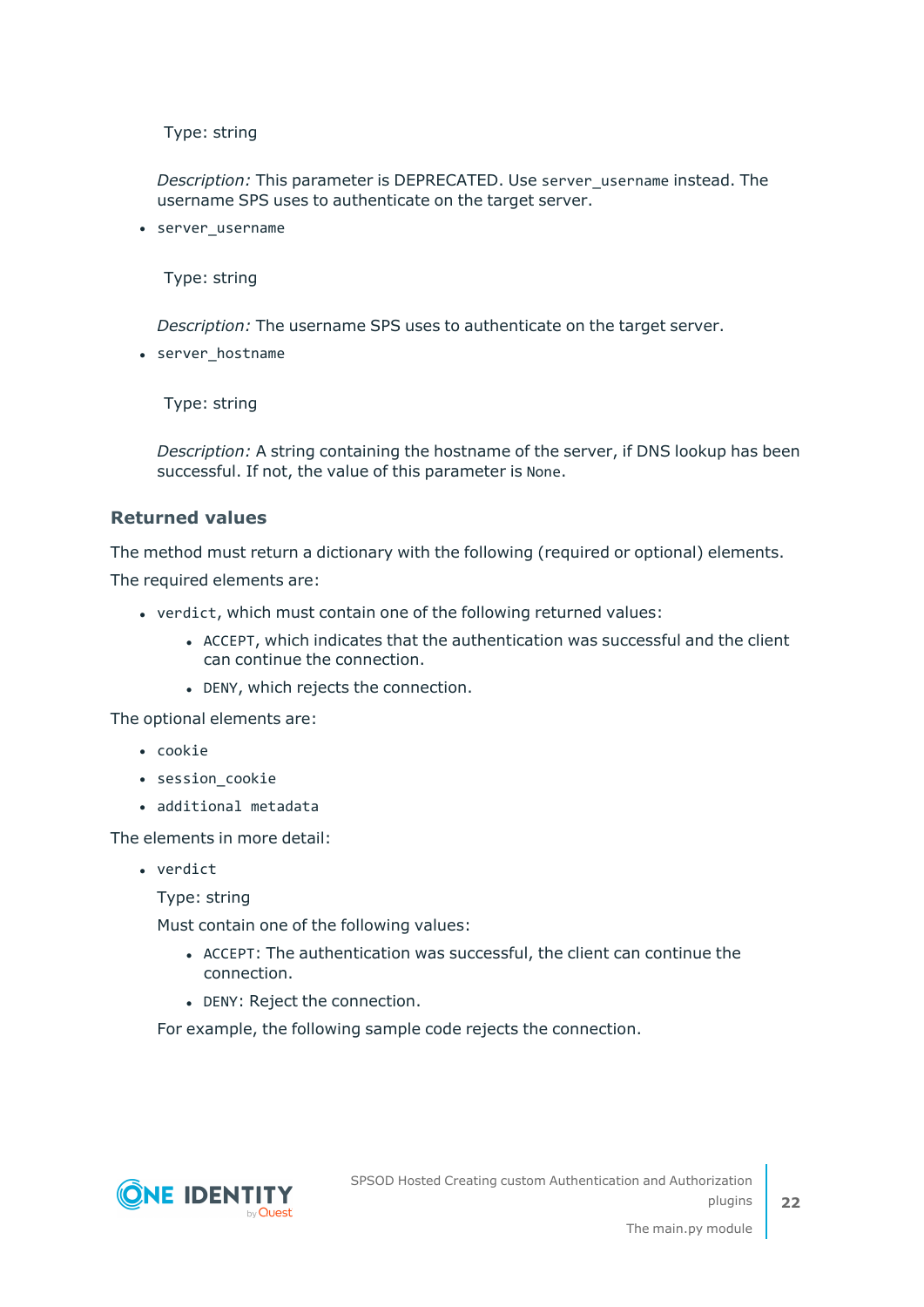*Description:* This parameter is DEPRECATED. Use server\_username instead. The username SPS uses to authenticate on the target server.

• server username

Type: string

*Description:* The username SPS uses to authenticate on the target server.

• server hostname

Type: string

*Description:* A string containing the hostname of the server, if DNS lookup has been successful. If not, the value of this parameter is None.

#### **Returned values**

The method must return a dictionary with the following (required or optional) elements.

The required elements are:

- verdict, which must contain one of the following returned values:
	- ACCEPT, which indicates that the authentication was successful and the client can continue the connection.
	- DENY, which rejects the connection.

The optional elements are:

- cookie
- session cookie
- additional metadata

The elements in more detail:

• verdict

Type: string

Must contain one of the following values:

- ACCEPT: The authentication was successful, the client can continue the connection.
- DENY: Reject the connection.

For example, the following sample code rejects the connection.

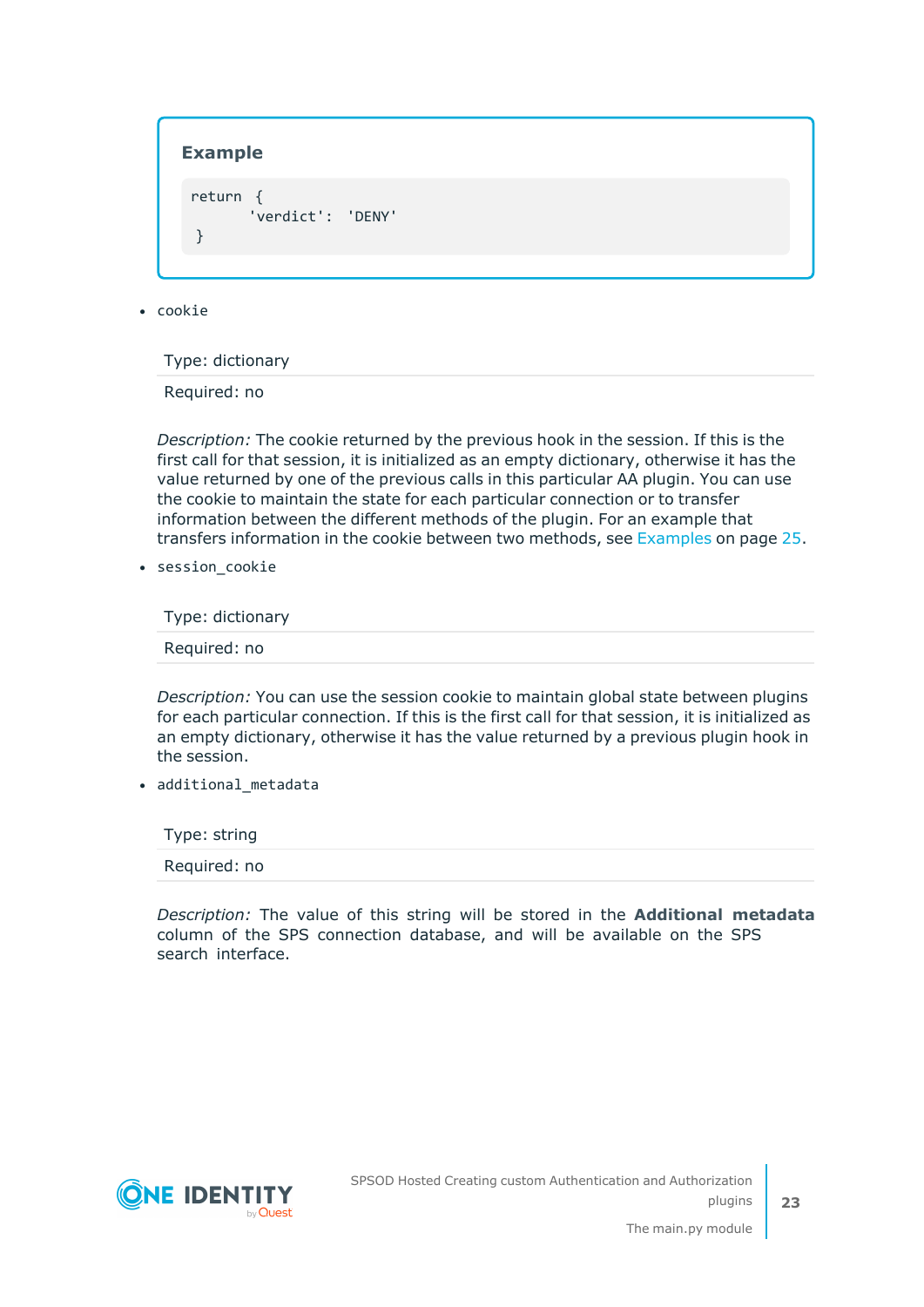#### **Example**

return { 'verdict': 'DENY' }

 $\cdot$  cookie

Type: dictionary

Required: no

*Description:* The cookie returned by the previous hook in the session. If this is the first call for that session, it is initialized as an empty dictionary, otherwise it has the value returned by one of the previous calls in this particular AA plugin. You can use the cookie to maintain the state for each particular connection or to transfer information between the different methods of the plugin. For an example that transfers information in the cookie between two methods, see [Examples](#page-24-0) on page 25.

• session cookie

Type: dictionary

Required: no

*Description:* You can use the session cookie to maintain global state between plugins for each particular connection. If this is the first call for that session, it is initialized as an empty dictionary, otherwise it has the value returned by a previous plugin hook in the session.

• additional\_metadata

Type: string Required: no

*Description:* The value of this string will be stored in the **Additional metadata** column of the SPS connection database, and will be available on the SPS search interface.

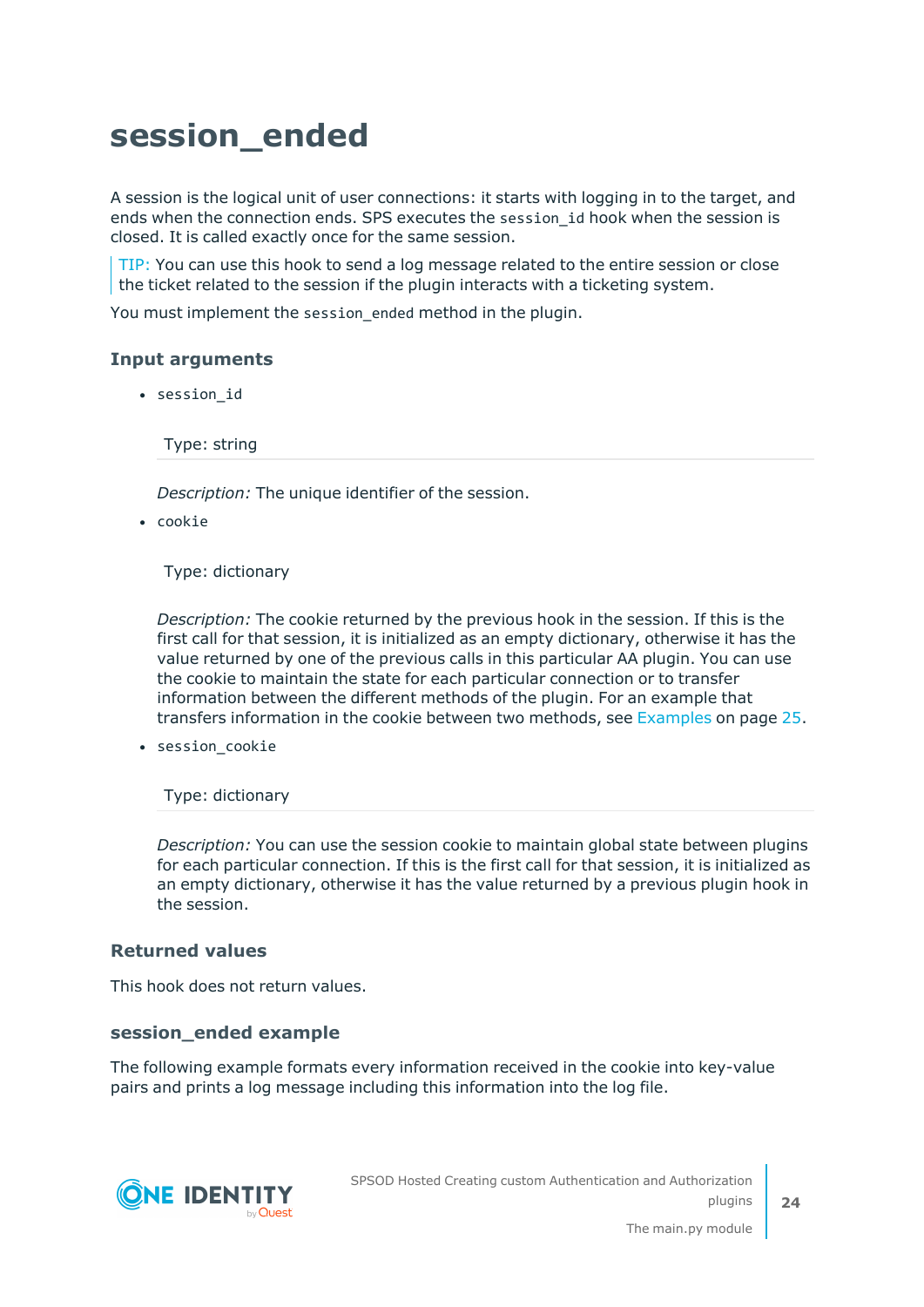## <span id="page-23-0"></span>**session\_ended**

A session is the logical unit of user connections: it starts with logging in to the target, and ends when the connection ends. SPS executes the session\_id hook when the session is closed. It is called exactly once for the same session.

TIP: You can use this hook to send a log message related to the entire session or close the ticket related to the session if the plugin interacts with a ticketing system.

You must implement the session\_ended method in the plugin.

### **Input arguments**

• session id

Type: string

*Description:* The unique identifier of the session.

 $\cdot$  cookie

Type: dictionary

*Description:* The cookie returned by the previous hook in the session. If this is the first call for that session, it is initialized as an empty dictionary, otherwise it has the value returned by one of the previous calls in this particular AA plugin. You can use the cookie to maintain the state for each particular connection or to transfer information between the different methods of the plugin. For an example that transfers information in the cookie between two methods, see [Examples](#page-24-0) on page 25.

• session\_cookie

Type: dictionary

*Description:* You can use the session cookie to maintain global state between plugins for each particular connection. If this is the first call for that session, it is initialized as an empty dictionary, otherwise it has the value returned by a previous plugin hook in the session.

#### **Returned values**

This hook does not return values.

#### **session\_ended example**

The following example formats every information received in the cookie into key-value pairs and prints a log message including this information into the log file.

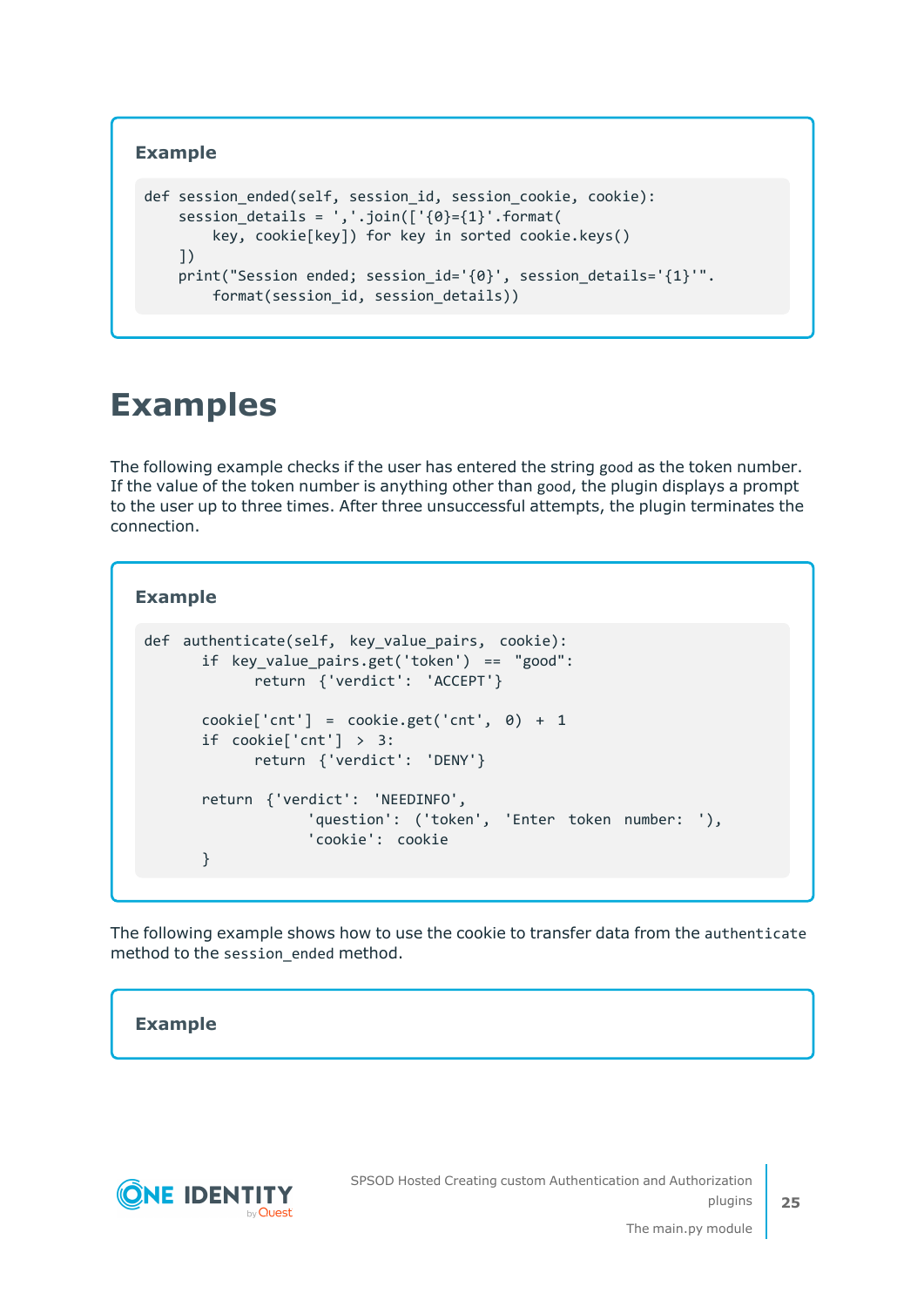### **Example**

```
def session ended(self, session id, session cookie, cookie):
    session details = ','.join(['{}0]={1}':format(key, cookie[key]) for key in sorted cookie.keys()
    ])
    print("Session ended; session_id='{0}', session_details='{1}'".
        format(session id, session details))
```
### <span id="page-24-0"></span>**Examples**

The following example checks if the user has entered the string good as the token number. If the value of the token number is anything other than good, the plugin displays a prompt to the user up to three times. After three unsuccessful attempts, the plugin terminates the connection.

#### **Example**

```
def authenticate(self, key_value_pairs, cookie):
      if key_value_pairs.get('token') == "good":
            return {'verdict': 'ACCEPT'}
      cookie['cnt'] = cookie.get('cnt', 0) + 1
      if cookie['cnt'] > 3:
            return {'verdict': 'DENY'}
      return {'verdict': 'NEEDINFO',
                  'question': ('token', 'Enter token number: '),
                  'cookie': cookie
      }
```
The following example shows how to use the cookie to transfer data from the authenticate method to the session\_ended method.

#### **Example**

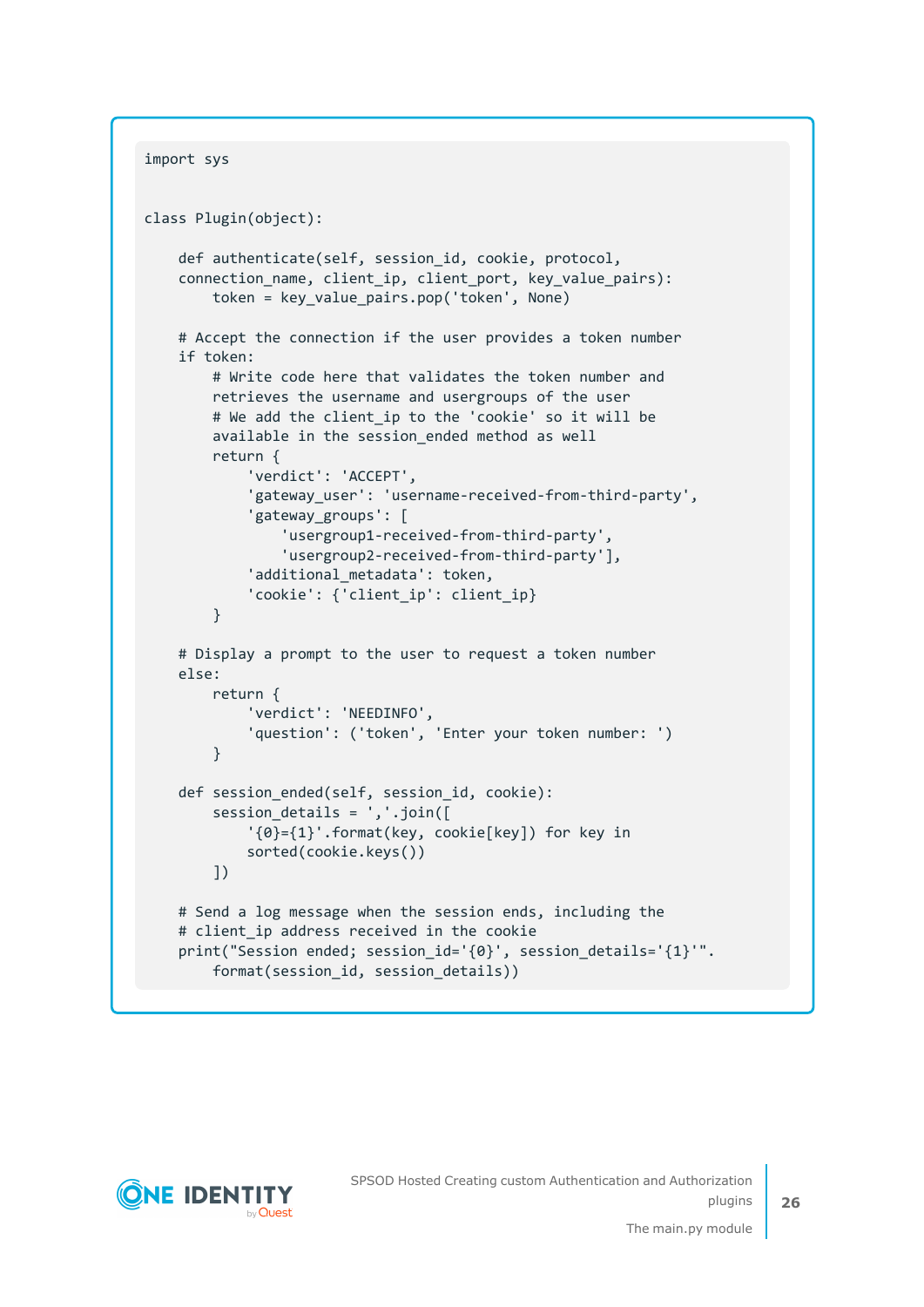```
import sys
class Plugin(object):
    def authenticate(self, session_id, cookie, protocol,
    connection name, client ip, client port, key value pairs):
       token = key value pairs.pop('token', None)
   # Accept the connection if the user provides a token number
    if token:
        # Write code here that validates the token number and
        retrieves the username and usergroups of the user
        # We add the client_ip to the 'cookie' so it will be
        available in the session ended method as well
        return {
            'verdict': 'ACCEPT',
            'gateway user': 'username-received-from-third-party',
            'gateway_groups': [
                'usergroup1-received-from-third-party',
                'usergroup2-received-from-third-party'],
            'additional metadata': token,
            'cookie': {'client ip': client ip}
        }
    # Display a prompt to the user to request a token number
    else:
        return {
            'verdict': 'NEEDINFO',
            'question': ('token', 'Enter your token number: ')
        }
    def session_ended(self, session_id, cookie):
        session_details = ','.join([
            '{0}={1}'.format(key, cookie[key]) for key in
            sorted(cookie.keys())
        ])
    # Send a log message when the session ends, including the
    # client ip address received in the cookie
    print("Session ended; session_id='{0}', session_details='{1}'".
        format(session_id, session_details))
```
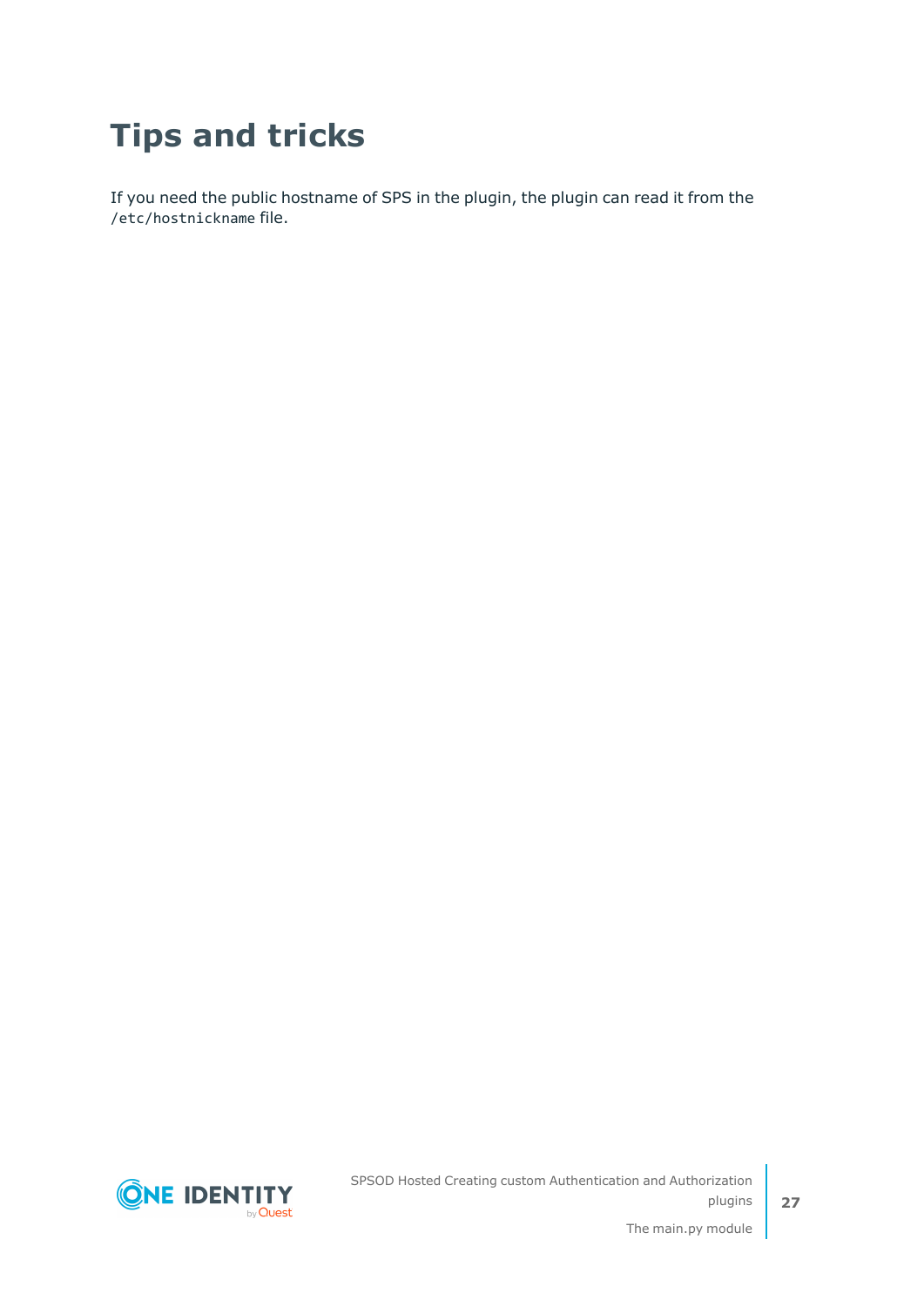## <span id="page-26-0"></span>**Tips and tricks**

If you need the public hostname of SPS in the plugin, the plugin can read it from the /etc/hostnickname file.

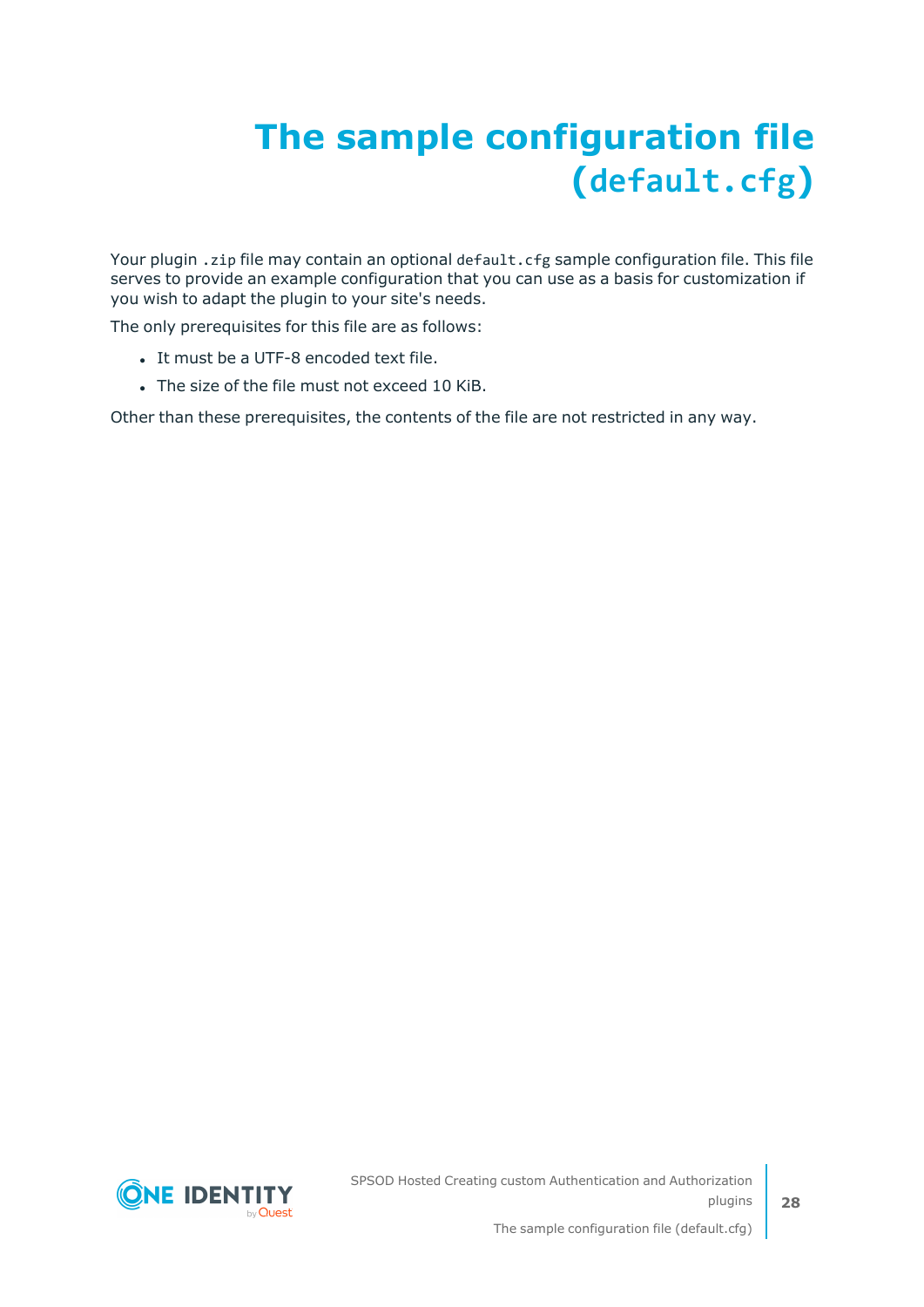# <span id="page-27-0"></span>**The sample configuration file (default.cfg)**

Your plugin . zip file may contain an optional default. cfg sample configuration file. This file serves to provide an example configuration that you can use as a basis for customization if you wish to adapt the plugin to your site's needs.

The only prerequisites for this file are as follows:

- It must be a UTF-8 encoded text file.
- The size of the file must not exceed 10 KiB.

Other than these prerequisites, the contents of the file are not restricted in any way.

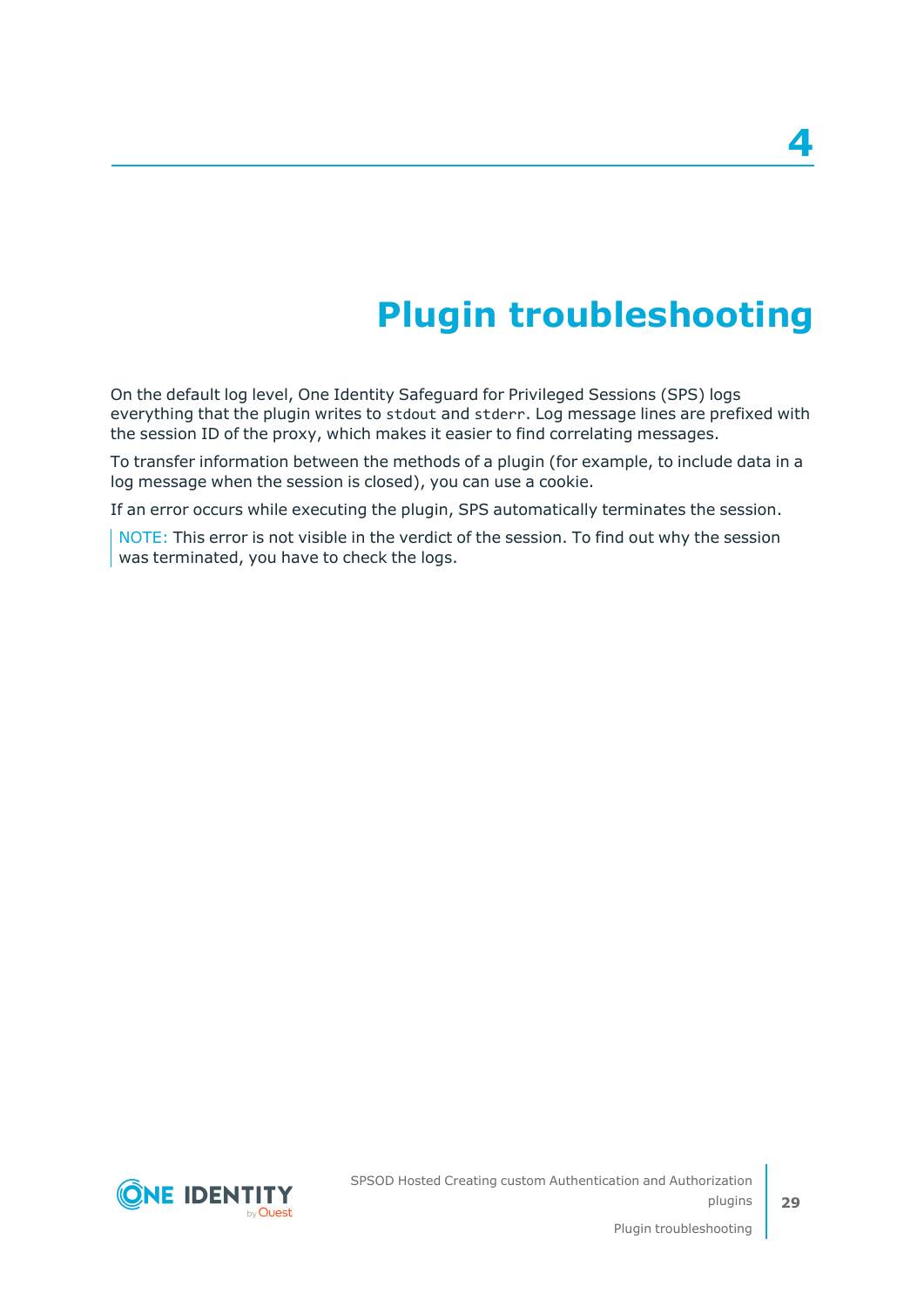# **Plugin troubleshooting**

<span id="page-28-0"></span>On the default log level, One Identity Safeguard for Privileged Sessions (SPS) logs everything that the plugin writes to stdout and stderr. Log message lines are prefixed with the session ID of the proxy, which makes it easier to find correlating messages.

To transfer information between the methods of a plugin (for example, to include data in a log message when the session is closed), you can use a cookie.

If an error occurs while executing the plugin, SPS automatically terminates the session.

NOTE: This error is not visible in the verdict of the session. To find out why the session was terminated, you have to check the logs.

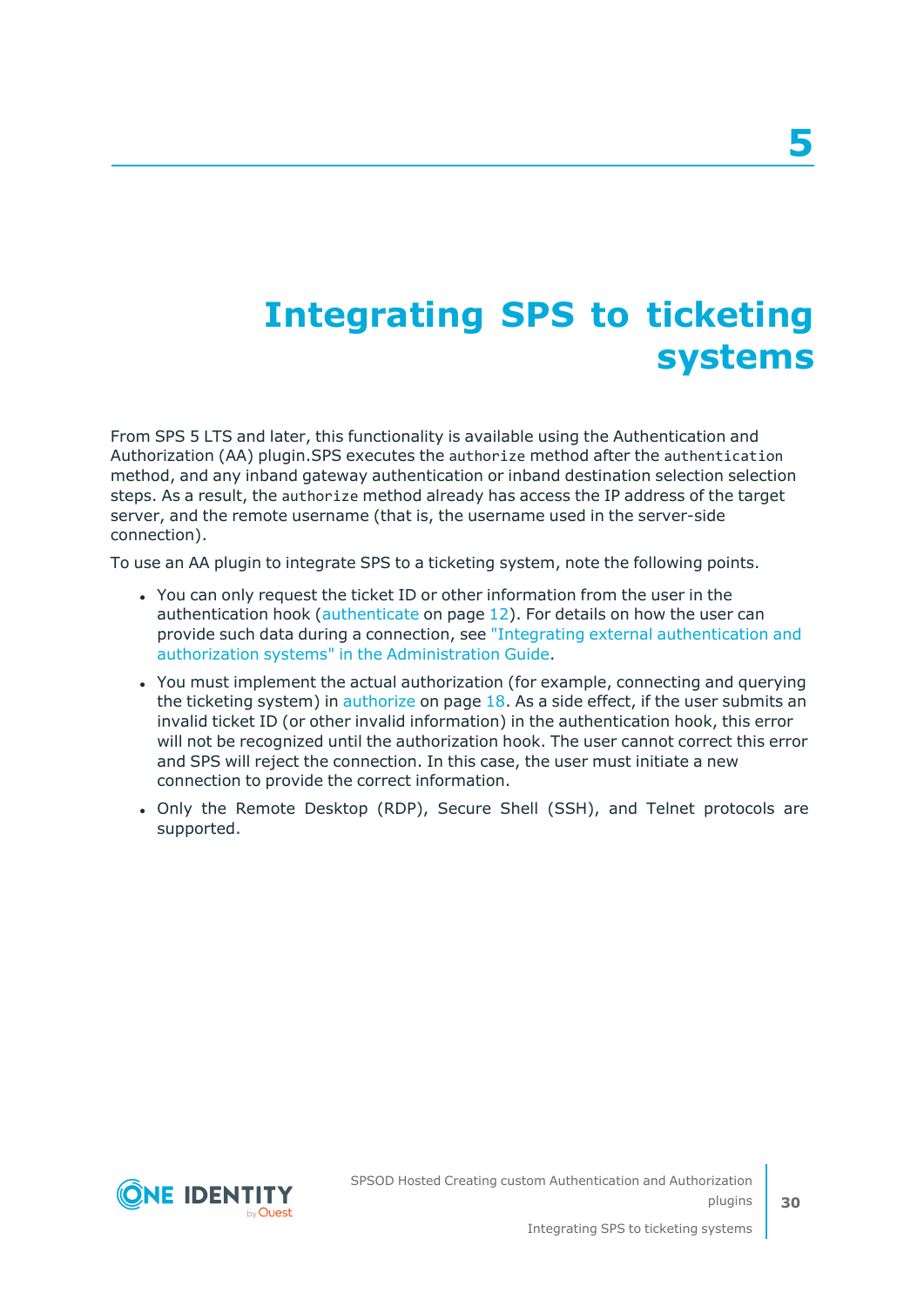## <span id="page-29-0"></span>**Integrating SPS to ticketing systems**

From SPS 5 LTS and later, this functionality is available using the Authentication and Authorization (AA) plugin.SPS executes the authorize method after the authentication method, and any inband gateway authentication or inband destination selection selection steps. As a result, the authorize method already has access the IP address of the target server, and the remote username (that is, the username used in the server-side connection).

To use an AA plugin to integrate SPS to a ticketing system, note the following points.

- You can only request the ticket ID or other information from the user in the authentication hook ([authenticate](#page-11-0) on page 12). For details on how the user can provide such data during a connection, see "Integrating external [authentication](https://support.oneidentity.com/technical-documents/safeguard-for-privileged-sessions/6.13.1/administration-guide/advanced-authentication-and-authorization-techniques/integrating-external-authentication-and-authorization-systems/) and authorization systems" in the [Administration](https://support.oneidentity.com/technical-documents/safeguard-for-privileged-sessions/6.13.1/administration-guide/advanced-authentication-and-authorization-techniques/integrating-external-authentication-and-authorization-systems/) Guide.
- You must implement the actual authorization (for example, connecting and querying the ticketing system) in [authorize](#page-17-0) on page 18. As a side effect, if the user submits an invalid ticket ID (or other invalid information) in the authentication hook, this error will not be recognized until the authorization hook. The user cannot correct this error and SPS will reject the connection. In this case, the user must initiate a new connection to provide the correct information.
- Only the Remote Desktop (RDP), Secure Shell (SSH), and Telnet protocols are supported.

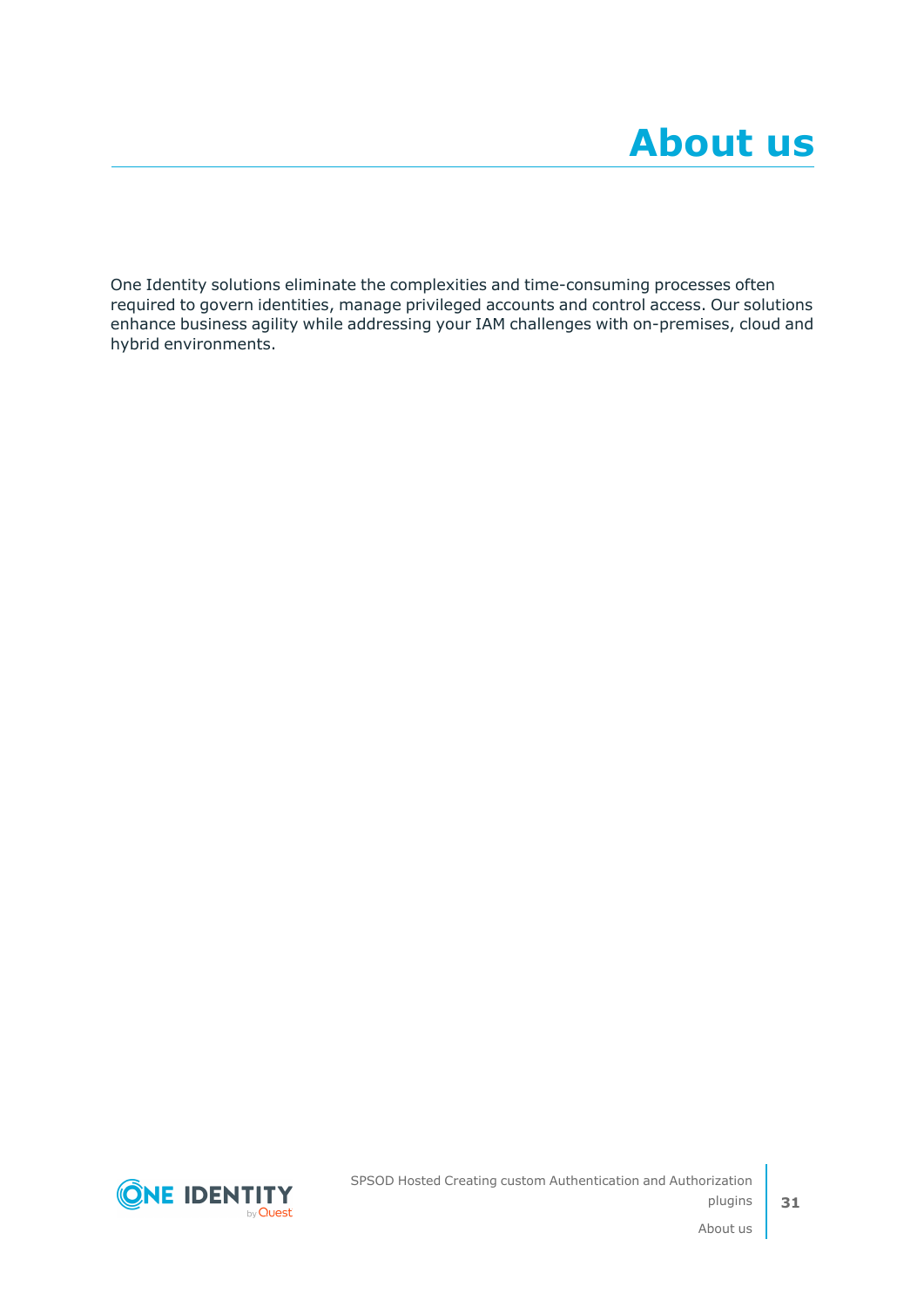<span id="page-30-0"></span>One Identity solutions eliminate the complexities and time-consuming processes often required to govern identities, manage privileged accounts and control access. Our solutions enhance business agility while addressing your IAM challenges with on-premises, cloud and hybrid environments.

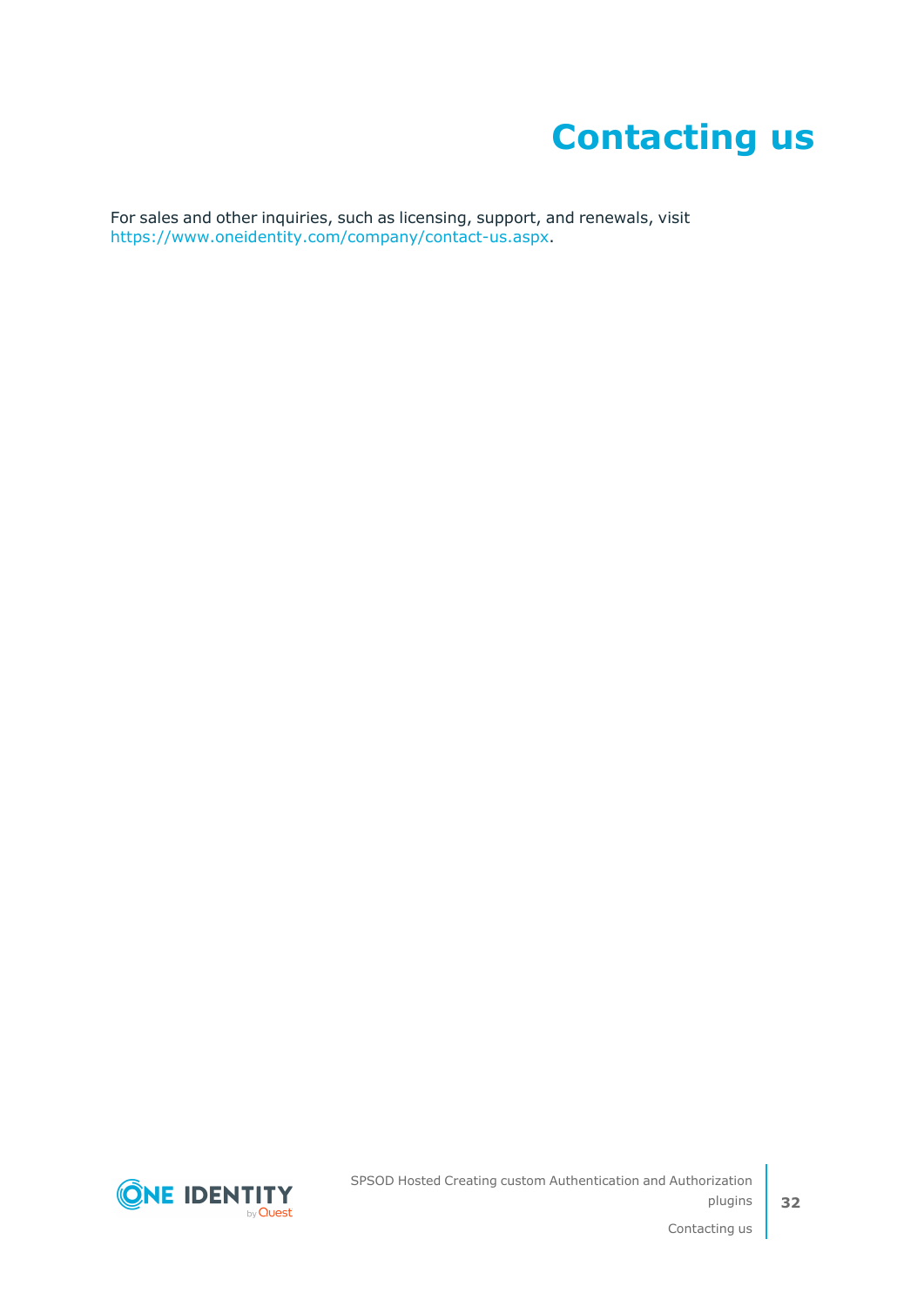# **Contacting us**

<span id="page-31-0"></span>For sales and other inquiries, such as licensing, support, and renewals, visit [https://www.oneidentity.com/company/contact-us.aspx.](https://www.oneidentity.com/company/contact-us.aspx)

**ONE IDENTITY** by **Quest**  SPSOD Hosted Creating custom Authentication and Authorization plugins

Contacting us